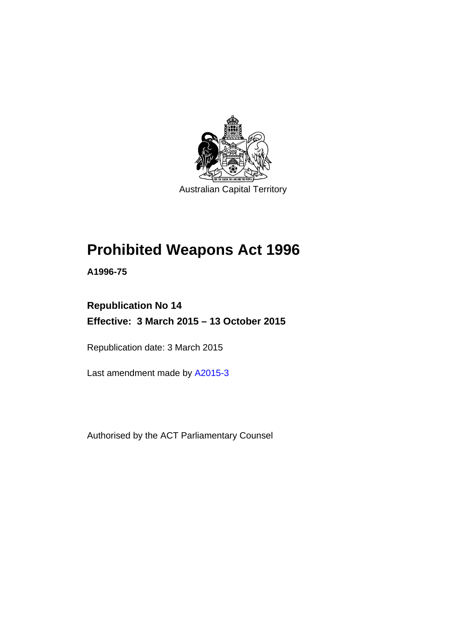

Australian Capital Territory

# **Prohibited Weapons Act 1996**

**A1996-75** 

## **Republication No 14 Effective: 3 March 2015 – 13 October 2015**

Republication date: 3 March 2015

Last amendment made by [A2015-3](http://www.legislation.act.gov.au/a/2015-3)

Authorised by the ACT Parliamentary Counsel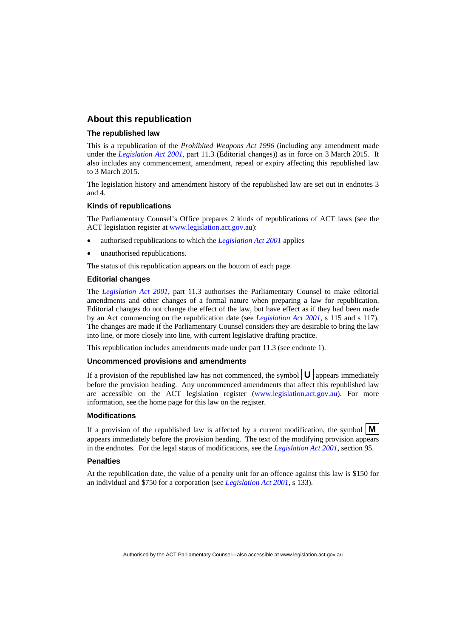#### **About this republication**

#### **The republished law**

This is a republication of the *Prohibited Weapons Act 1996* (including any amendment made under the *[Legislation Act 2001](http://www.legislation.act.gov.au/a/2001-14)*, part 11.3 (Editorial changes)) as in force on 3 March 2015*.* It also includes any commencement, amendment, repeal or expiry affecting this republished law to 3 March 2015.

The legislation history and amendment history of the republished law are set out in endnotes 3 and 4.

#### **Kinds of republications**

The Parliamentary Counsel's Office prepares 2 kinds of republications of ACT laws (see the ACT legislation register at [www.legislation.act.gov.au](http://www.legislation.act.gov.au/)):

- authorised republications to which the *[Legislation Act 2001](http://www.legislation.act.gov.au/a/2001-14)* applies
- unauthorised republications.

The status of this republication appears on the bottom of each page.

#### **Editorial changes**

The *[Legislation Act 2001](http://www.legislation.act.gov.au/a/2001-14)*, part 11.3 authorises the Parliamentary Counsel to make editorial amendments and other changes of a formal nature when preparing a law for republication. Editorial changes do not change the effect of the law, but have effect as if they had been made by an Act commencing on the republication date (see *[Legislation Act 2001](http://www.legislation.act.gov.au/a/2001-14)*, s 115 and s 117). The changes are made if the Parliamentary Counsel considers they are desirable to bring the law into line, or more closely into line, with current legislative drafting practice.

This republication includes amendments made under part 11.3 (see endnote 1).

#### **Uncommenced provisions and amendments**

If a provision of the republished law has not commenced, the symbol  $\mathbf{U}$  appears immediately before the provision heading. Any uncommenced amendments that affect this republished law are accessible on the ACT legislation register [\(www.legislation.act.gov.au\)](http://www.legislation.act.gov.au/). For more information, see the home page for this law on the register.

#### **Modifications**

If a provision of the republished law is affected by a current modification, the symbol  $\mathbf{M}$ appears immediately before the provision heading. The text of the modifying provision appears in the endnotes. For the legal status of modifications, see the *[Legislation Act 2001](http://www.legislation.act.gov.au/a/2001-14)*, section 95.

#### **Penalties**

At the republication date, the value of a penalty unit for an offence against this law is \$150 for an individual and \$750 for a corporation (see *[Legislation Act 2001](http://www.legislation.act.gov.au/a/2001-14)*, s 133).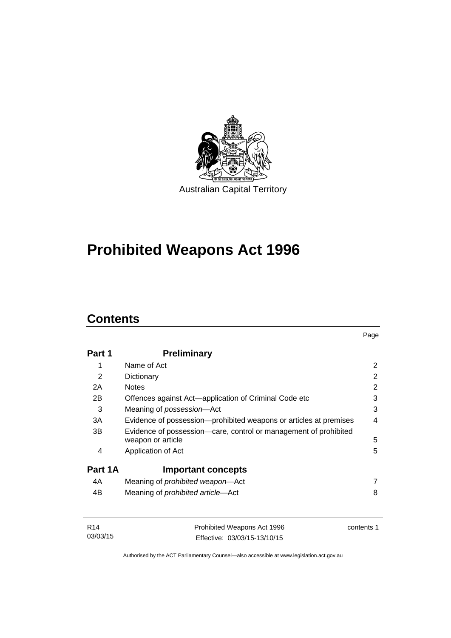

# **Prohibited Weapons Act 1996**

## **Contents**

| Part 1  | <b>Preliminary</b>                                                                    |   |
|---------|---------------------------------------------------------------------------------------|---|
| 1       | Name of Act                                                                           | 2 |
| 2       | Dictionary                                                                            | 2 |
| 2A      | <b>Notes</b>                                                                          | 2 |
| 2B      | Offences against Act-application of Criminal Code etc                                 | 3 |
| 3       | Meaning of possession-Act                                                             | 3 |
| 3A      | Evidence of possession—prohibited weapons or articles at premises                     | 4 |
| 3B      | Evidence of possession-care, control or management of prohibited<br>weapon or article | 5 |
| 4       | Application of Act                                                                    | 5 |
| Part 1A | <b>Important concepts</b>                                                             |   |
| 4A      | Meaning of <i>prohibited</i> weapon-Act                                               | 7 |
| 4B      | Meaning of <i>prohibited article</i> —Act                                             | 8 |

| R14      | Prohibited Weapons Act 1996  | contents 1 |
|----------|------------------------------|------------|
| 03/03/15 | Effective: 03/03/15-13/10/15 |            |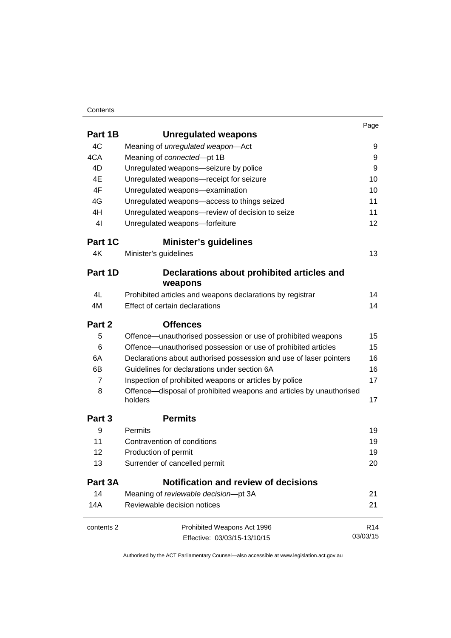#### **Contents**

|                   |                                                                                | Page            |
|-------------------|--------------------------------------------------------------------------------|-----------------|
| Part 1B           | <b>Unregulated weapons</b>                                                     |                 |
| 4C                | Meaning of unregulated weapon-Act                                              | 9               |
| 4CA               | Meaning of connected-pt 1B                                                     | 9               |
| 4D                | Unregulated weapons-seizure by police                                          | 9               |
| 4E                | Unregulated weapons-receipt for seizure                                        | 10              |
| 4F                | Unregulated weapons-examination                                                | 10              |
| 4G                | Unregulated weapons-access to things seized                                    | 11              |
| 4H                | Unregulated weapons-review of decision to seize                                | 11              |
| 4 <sub>l</sub>    | Unregulated weapons-forfeiture                                                 | 12              |
| Part 1C           | <b>Minister's guidelines</b>                                                   |                 |
| 4K                | Minister's guidelines                                                          | 13              |
| Part 1D           | Declarations about prohibited articles and                                     |                 |
|                   | weapons                                                                        |                 |
| 4L                | Prohibited articles and weapons declarations by registrar                      | 14              |
| 4M                | Effect of certain declarations                                                 | 14              |
| Part 2            | <b>Offences</b>                                                                |                 |
| 5                 | Offence-unauthorised possession or use of prohibited weapons                   | 15              |
| 6                 | Offence-unauthorised possession or use of prohibited articles                  | 15              |
| 6A                | Declarations about authorised possession and use of laser pointers             | 16              |
| 6B                | Guidelines for declarations under section 6A                                   | 16              |
| $\overline{7}$    | Inspection of prohibited weapons or articles by police                         | 17              |
| 8                 | Offence—disposal of prohibited weapons and articles by unauthorised<br>holders | 17              |
| Part <sub>3</sub> | <b>Permits</b>                                                                 |                 |
| 9                 | Permits                                                                        | 19              |
| 11                | Contravention of conditions                                                    | 19              |
| 12                | Production of permit                                                           | 19              |
| 13                | Surrender of cancelled permit                                                  | 20              |
| Part 3A           | <b>Notification and review of decisions</b>                                    |                 |
| 14                | Meaning of reviewable decision-pt 3A                                           | 21              |
| 14A               | Reviewable decision notices                                                    | 21              |
| contents 2        | Prohibited Weapons Act 1996                                                    | R <sub>14</sub> |
|                   | Effective: 03/03/15-13/10/15                                                   | 03/03/15        |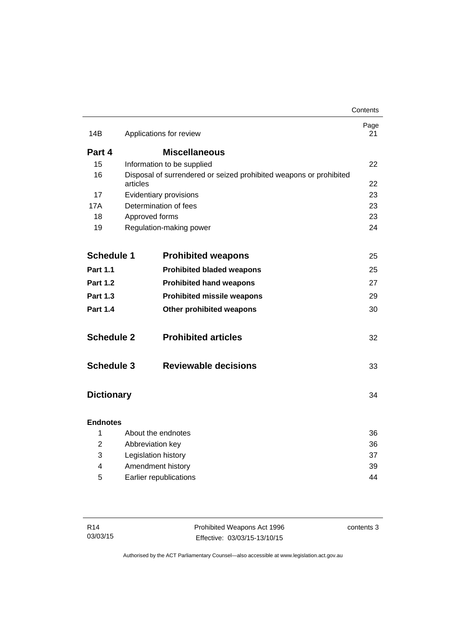|                   |                                                                                | Contents   |
|-------------------|--------------------------------------------------------------------------------|------------|
| 14B               | Applications for review                                                        | Page<br>21 |
| Part 4            | <b>Miscellaneous</b>                                                           |            |
| 15                | Information to be supplied                                                     | 22         |
| 16                | Disposal of surrendered or seized prohibited weapons or prohibited<br>articles | 22         |
| 17                | Evidentiary provisions                                                         | 23         |
| 17A               | Determination of fees                                                          | 23         |
| 18                | Approved forms                                                                 | 23         |
| 19                | Regulation-making power                                                        | 24         |
| <b>Schedule 1</b> | <b>Prohibited weapons</b>                                                      | 25         |
| Part 1.1          | <b>Prohibited bladed weapons</b>                                               | 25         |
| <b>Part 1.2</b>   | <b>Prohibited hand weapons</b>                                                 | 27         |
| <b>Part 1.3</b>   | <b>Prohibited missile weapons</b>                                              | 29         |
| <b>Part 1.4</b>   | Other prohibited weapons                                                       | 30         |
| <b>Schedule 2</b> | <b>Prohibited articles</b>                                                     | 32         |
| <b>Schedule 3</b> | <b>Reviewable decisions</b>                                                    | 33         |
| <b>Dictionary</b> |                                                                                | 34         |
| <b>Endnotes</b>   |                                                                                |            |
| 1                 | About the endnotes                                                             | 36         |
| 2                 | Abbreviation key                                                               |            |
| 3                 | Legislation history                                                            |            |
| 4                 | Amendment history                                                              |            |
| 5                 | Earlier republications<br>44                                                   |            |

| R <sub>14</sub> | Prohibited Weapons Act 1996  | contents 3 |
|-----------------|------------------------------|------------|
| 03/03/15        | Effective: 03/03/15-13/10/15 |            |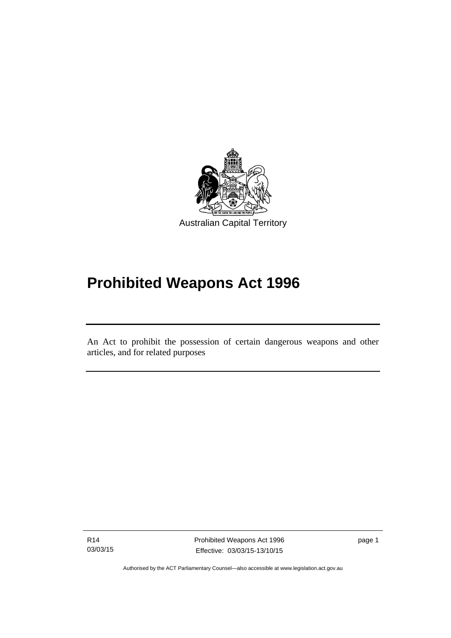

## **Prohibited Weapons Act 1996**

An Act to prohibit the possession of certain dangerous weapons and other articles, and for related purposes

R14 03/03/15

Ī

page 1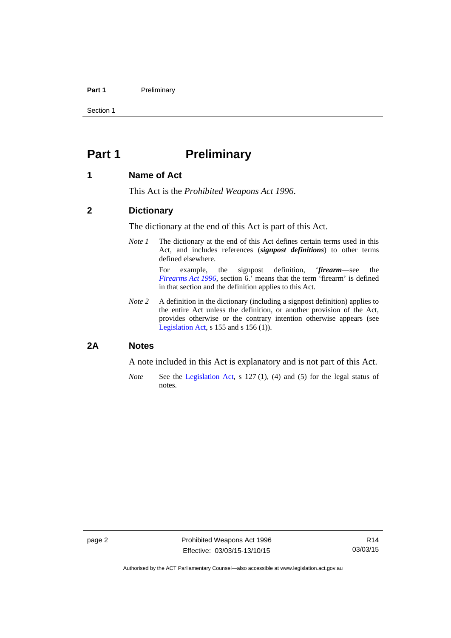#### Part 1 **Preliminary**

Section 1

## <span id="page-7-0"></span>**Part 1** Preliminary

#### <span id="page-7-1"></span>**1 Name of Act**

This Act is the *Prohibited Weapons Act 1996*.

#### <span id="page-7-2"></span>**2 Dictionary**

The dictionary at the end of this Act is part of this Act.

*Note 1* The dictionary at the end of this Act defines certain terms used in this Act, and includes references (*signpost definitions*) to other terms defined elsewhere.

> For example, the signpost definition, '*firearm*—see the *[Firearms Act 1996](http://www.legislation.act.gov.au/a/1996-74)*, section 6.' means that the term 'firearm' is defined in that section and the definition applies to this Act.

*Note 2* A definition in the dictionary (including a signpost definition) applies to the entire Act unless the definition, or another provision of the Act, provides otherwise or the contrary intention otherwise appears (see [Legislation Act,](http://www.legislation.act.gov.au/a/2001-14) s 155 and s 156 (1)).

### <span id="page-7-3"></span>**2A Notes**

A note included in this Act is explanatory and is not part of this Act.

*Note* See the [Legislation Act,](http://www.legislation.act.gov.au/a/2001-14) s 127 (1), (4) and (5) for the legal status of notes.

Authorised by the ACT Parliamentary Counsel—also accessible at www.legislation.act.gov.au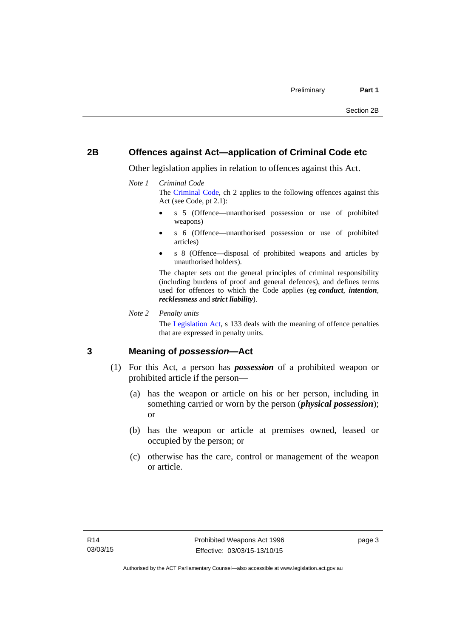### <span id="page-8-0"></span>**2B Offences against Act—application of Criminal Code etc**

Other legislation applies in relation to offences against this Act.

#### *Note 1 Criminal Code*

The [Criminal Code](http://www.legislation.act.gov.au/a/2002-51), ch 2 applies to the following offences against this Act (see Code, pt 2.1):

- s 5 (Offence—unauthorised possession or use of prohibited weapons)
- s 6 (Offence—unauthorised possession or use of prohibited articles)
- s 8 (Offence—disposal of prohibited weapons and articles by unauthorised holders).

The chapter sets out the general principles of criminal responsibility (including burdens of proof and general defences), and defines terms used for offences to which the Code applies (eg *conduct*, *intention*, *recklessness* and *strict liability*).

*Note 2 Penalty units* 

The [Legislation Act](http://www.legislation.act.gov.au/a/2001-14), s 133 deals with the meaning of offence penalties that are expressed in penalty units.

### <span id="page-8-1"></span>**3 Meaning of** *possession***—Act**

- (1) For this Act, a person has *possession* of a prohibited weapon or prohibited article if the person—
	- (a) has the weapon or article on his or her person, including in something carried or worn by the person (*physical possession*); or
	- (b) has the weapon or article at premises owned, leased or occupied by the person; or
	- (c) otherwise has the care, control or management of the weapon or article.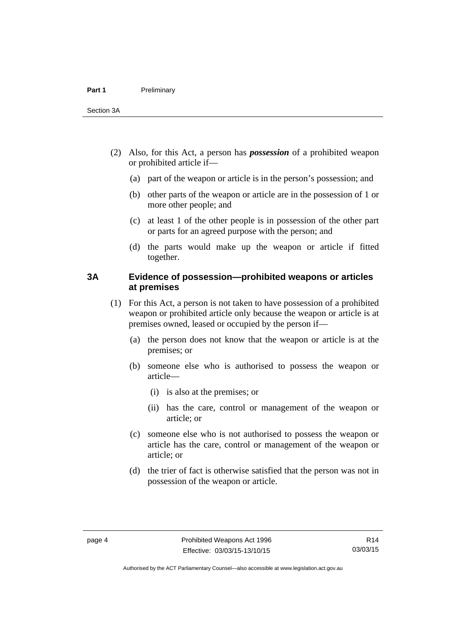- (2) Also, for this Act, a person has *possession* of a prohibited weapon or prohibited article if—
	- (a) part of the weapon or article is in the person's possession; and
	- (b) other parts of the weapon or article are in the possession of 1 or more other people; and
	- (c) at least 1 of the other people is in possession of the other part or parts for an agreed purpose with the person; and
	- (d) the parts would make up the weapon or article if fitted together.

### <span id="page-9-0"></span>**3A Evidence of possession—prohibited weapons or articles at premises**

- (1) For this Act, a person is not taken to have possession of a prohibited weapon or prohibited article only because the weapon or article is at premises owned, leased or occupied by the person if—
	- (a) the person does not know that the weapon or article is at the premises; or
	- (b) someone else who is authorised to possess the weapon or article—
		- (i) is also at the premises; or
		- (ii) has the care, control or management of the weapon or article; or
	- (c) someone else who is not authorised to possess the weapon or article has the care, control or management of the weapon or article; or
	- (d) the trier of fact is otherwise satisfied that the person was not in possession of the weapon or article.

R14 03/03/15

Authorised by the ACT Parliamentary Counsel—also accessible at www.legislation.act.gov.au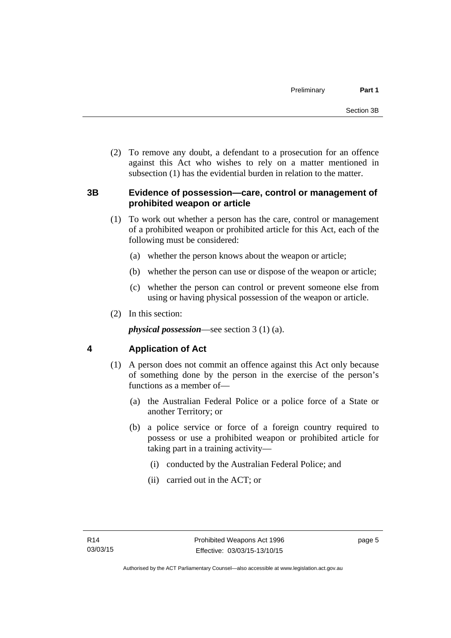(2) To remove any doubt, a defendant to a prosecution for an offence against this Act who wishes to rely on a matter mentioned in subsection (1) has the evidential burden in relation to the matter.

### <span id="page-10-0"></span>**3B Evidence of possession—care, control or management of prohibited weapon or article**

- (1) To work out whether a person has the care, control or management of a prohibited weapon or prohibited article for this Act, each of the following must be considered:
	- (a) whether the person knows about the weapon or article;
	- (b) whether the person can use or dispose of the weapon or article;
	- (c) whether the person can control or prevent someone else from using or having physical possession of the weapon or article.
- (2) In this section:

*physical possession*—see section 3 (1) (a).

## <span id="page-10-1"></span>**4 Application of Act**

- (1) A person does not commit an offence against this Act only because of something done by the person in the exercise of the person's functions as a member of—
	- (a) the Australian Federal Police or a police force of a State or another Territory; or
	- (b) a police service or force of a foreign country required to possess or use a prohibited weapon or prohibited article for taking part in a training activity—
		- (i) conducted by the Australian Federal Police; and
		- (ii) carried out in the ACT; or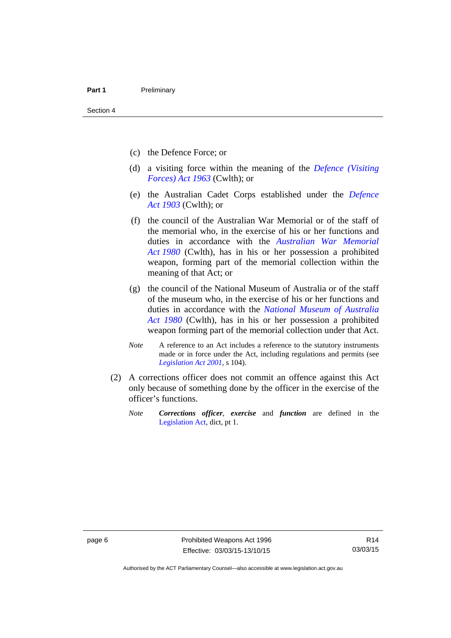- (c) the Defence Force; or
- (d) a visiting force within the meaning of the *[Defence \(Visiting](http://www.comlaw.gov.au/Series/C1963A00081)  [Forces\) Act 1963](http://www.comlaw.gov.au/Series/C1963A00081)* (Cwlth); or
- (e) the Australian Cadet Corps established under the *[Defence](http://www.comlaw.gov.au/Series/C1903A00020)  [Act 1903](http://www.comlaw.gov.au/Series/C1903A00020)* (Cwlth); or
- (f) the council of the Australian War Memorial or of the staff of the memorial who, in the exercise of his or her functions and duties in accordance with the *[Australian War Memorial](http://www.comlaw.gov.au/Series/C2004A02305)  [Act 1980](http://www.comlaw.gov.au/Series/C2004A02305)* (Cwlth), has in his or her possession a prohibited weapon, forming part of the memorial collection within the meaning of that Act; or
- (g) the council of the National Museum of Australia or of the staff of the museum who, in the exercise of his or her functions and duties in accordance with the *[National Museum of Australia](http://www.comlaw.gov.au/Series/C2004A02316)  [Act 1980](http://www.comlaw.gov.au/Series/C2004A02316)* (Cwlth), has in his or her possession a prohibited weapon forming part of the memorial collection under that Act.
- *Note* A reference to an Act includes a reference to the statutory instruments made or in force under the Act, including regulations and permits (see *[Legislation Act 2001](http://www.legislation.act.gov.au/a/2001-14)*, s 104).
- (2) A corrections officer does not commit an offence against this Act only because of something done by the officer in the exercise of the officer's functions.
	- *Note Corrections officer*, *exercise* and *function* are defined in the [Legislation Act,](http://www.legislation.act.gov.au/a/2001-14) dict, pt 1.

Authorised by the ACT Parliamentary Counsel—also accessible at www.legislation.act.gov.au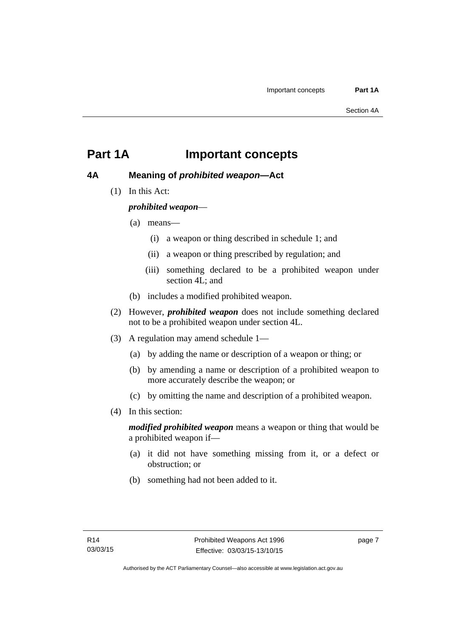## <span id="page-12-0"></span>**Part 1A Important concepts**

## <span id="page-12-1"></span>**4A Meaning of** *prohibited weapon***—Act**

(1) In this Act:

*prohibited weapon*—

- (a) means—
	- (i) a weapon or thing described in schedule 1; and
	- (ii) a weapon or thing prescribed by regulation; and
	- (iii) something declared to be a prohibited weapon under section 4L; and
- (b) includes a modified prohibited weapon.
- (2) However, *prohibited weapon* does not include something declared not to be a prohibited weapon under section 4L.
- (3) A regulation may amend schedule 1—
	- (a) by adding the name or description of a weapon or thing; or
	- (b) by amending a name or description of a prohibited weapon to more accurately describe the weapon; or
	- (c) by omitting the name and description of a prohibited weapon.
- (4) In this section:

*modified prohibited weapon* means a weapon or thing that would be a prohibited weapon if—

- (a) it did not have something missing from it, or a defect or obstruction; or
- (b) something had not been added to it.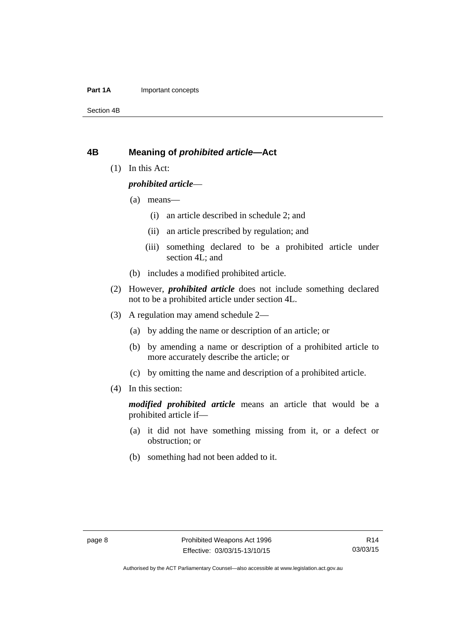#### **Part 1A** Important concepts

Section 4B

#### <span id="page-13-0"></span>**4B Meaning of** *prohibited article***—Act**

(1) In this Act:

#### *prohibited article*—

- (a) means—
	- (i) an article described in schedule 2; and
	- (ii) an article prescribed by regulation; and
	- (iii) something declared to be a prohibited article under section 4L; and
- (b) includes a modified prohibited article.
- (2) However, *prohibited article* does not include something declared not to be a prohibited article under section 4L.
- (3) A regulation may amend schedule 2—
	- (a) by adding the name or description of an article; or
	- (b) by amending a name or description of a prohibited article to more accurately describe the article; or
	- (c) by omitting the name and description of a prohibited article.
- (4) In this section:

*modified prohibited article* means an article that would be a prohibited article if—

- (a) it did not have something missing from it, or a defect or obstruction; or
- (b) something had not been added to it.

Authorised by the ACT Parliamentary Counsel—also accessible at www.legislation.act.gov.au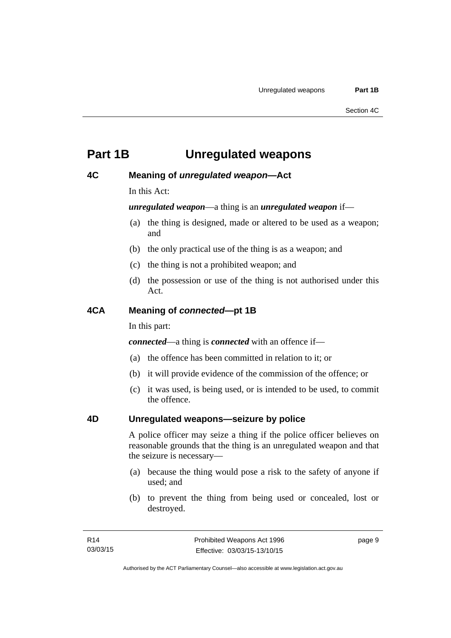## <span id="page-14-0"></span>**Part 1B Unregulated weapons**

### <span id="page-14-1"></span>**4C Meaning of** *unregulated weapon***—Act**

In this Act:

*unregulated weapon*—a thing is an *unregulated weapon* if—

- (a) the thing is designed, made or altered to be used as a weapon; and
- (b) the only practical use of the thing is as a weapon; and
- (c) the thing is not a prohibited weapon; and
- (d) the possession or use of the thing is not authorised under this Act.

### <span id="page-14-2"></span>**4CA Meaning of** *connected***—pt 1B**

In this part:

*connected*—a thing is *connected* with an offence if—

- (a) the offence has been committed in relation to it; or
- (b) it will provide evidence of the commission of the offence; or
- (c) it was used, is being used, or is intended to be used, to commit the offence.

#### <span id="page-14-3"></span>**4D Unregulated weapons—seizure by police**

A police officer may seize a thing if the police officer believes on reasonable grounds that the thing is an unregulated weapon and that the seizure is necessary—

- (a) because the thing would pose a risk to the safety of anyone if used; and
- (b) to prevent the thing from being used or concealed, lost or destroyed.

page 9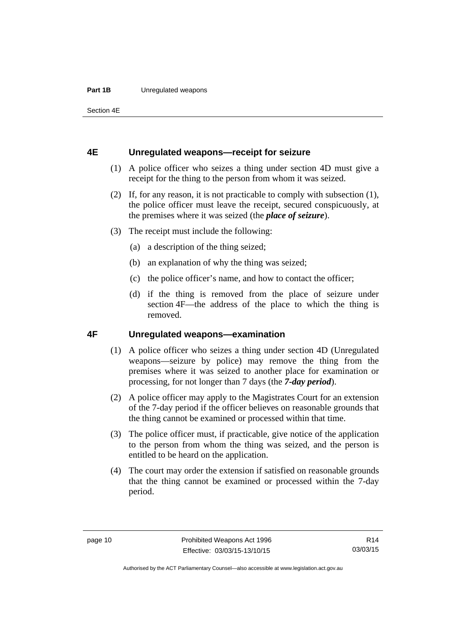#### **Part 1B** Unregulated weapons

Section 4E

#### <span id="page-15-0"></span>**4E Unregulated weapons—receipt for seizure**

- (1) A police officer who seizes a thing under section 4D must give a receipt for the thing to the person from whom it was seized.
- (2) If, for any reason, it is not practicable to comply with subsection (1), the police officer must leave the receipt, secured conspicuously, at the premises where it was seized (the *place of seizure*).
- (3) The receipt must include the following:
	- (a) a description of the thing seized;
	- (b) an explanation of why the thing was seized;
	- (c) the police officer's name, and how to contact the officer;
	- (d) if the thing is removed from the place of seizure under section 4F—the address of the place to which the thing is removed.

### <span id="page-15-1"></span>**4F Unregulated weapons—examination**

- (1) A police officer who seizes a thing under section 4D (Unregulated weapons—seizure by police) may remove the thing from the premises where it was seized to another place for examination or processing, for not longer than 7 days (the *7-day period*).
- (2) A police officer may apply to the Magistrates Court for an extension of the 7-day period if the officer believes on reasonable grounds that the thing cannot be examined or processed within that time.
- (3) The police officer must, if practicable, give notice of the application to the person from whom the thing was seized, and the person is entitled to be heard on the application.
- (4) The court may order the extension if satisfied on reasonable grounds that the thing cannot be examined or processed within the 7-day period.

Authorised by the ACT Parliamentary Counsel—also accessible at www.legislation.act.gov.au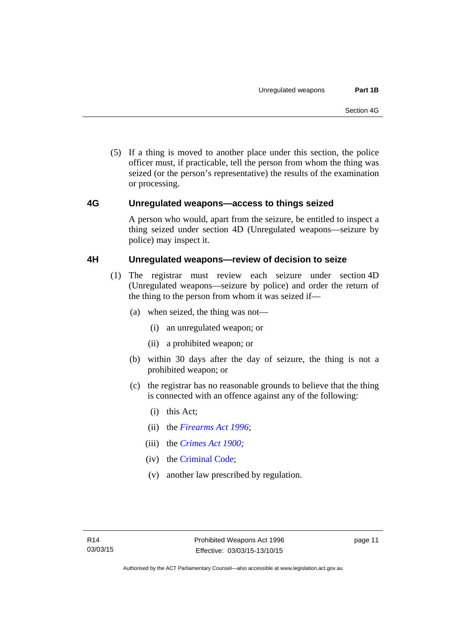(5) If a thing is moved to another place under this section, the police officer must, if practicable, tell the person from whom the thing was seized (or the person's representative) the results of the examination or processing.

### <span id="page-16-0"></span>**4G Unregulated weapons—access to things seized**

A person who would, apart from the seizure, be entitled to inspect a thing seized under section 4D (Unregulated weapons—seizure by police) may inspect it.

### <span id="page-16-1"></span>**4H Unregulated weapons—review of decision to seize**

- (1) The registrar must review each seizure under section 4D (Unregulated weapons—seizure by police) and order the return of the thing to the person from whom it was seized if—
	- (a) when seized, the thing was not—
		- (i) an unregulated weapon; or
		- (ii) a prohibited weapon; or
	- (b) within 30 days after the day of seizure, the thing is not a prohibited weapon; or
	- (c) the registrar has no reasonable grounds to believe that the thing is connected with an offence against any of the following:
		- (i) this Act;
		- (ii) the *[Firearms Act 1996](http://www.legislation.act.gov.au/a/1996-74)*;
		- (iii) the *[Crimes Act 1900](http://www.legislation.act.gov.au/a/1900-40);*
		- (iv) the [Criminal Code;](http://www.legislation.act.gov.au/a/2002-51)
		- (v) another law prescribed by regulation.

page 11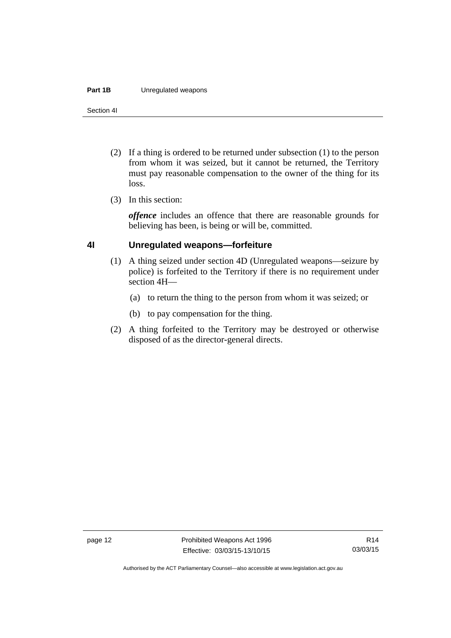#### **Part 1B** Unregulated weapons

Section 4I

- (2) If a thing is ordered to be returned under subsection (1) to the person from whom it was seized, but it cannot be returned, the Territory must pay reasonable compensation to the owner of the thing for its loss.
- (3) In this section:

*offence* includes an offence that there are reasonable grounds for believing has been, is being or will be, committed.

### <span id="page-17-0"></span>**4I Unregulated weapons—forfeiture**

- (1) A thing seized under section 4D (Unregulated weapons—seizure by police) is forfeited to the Territory if there is no requirement under section 4H—
	- (a) to return the thing to the person from whom it was seized; or
	- (b) to pay compensation for the thing.
- (2) A thing forfeited to the Territory may be destroyed or otherwise disposed of as the director-general directs.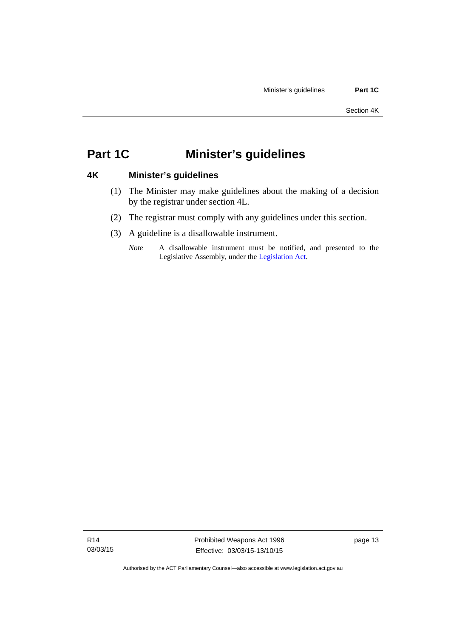## <span id="page-18-0"></span>**Part 1C Minister's guidelines**

### <span id="page-18-1"></span>**4K Minister's guidelines**

- (1) The Minister may make guidelines about the making of a decision by the registrar under section 4L.
- (2) The registrar must comply with any guidelines under this section.
- (3) A guideline is a disallowable instrument.
	- *Note* A disallowable instrument must be notified, and presented to the Legislative Assembly, under the [Legislation Act.](http://www.legislation.act.gov.au/a/2001-14)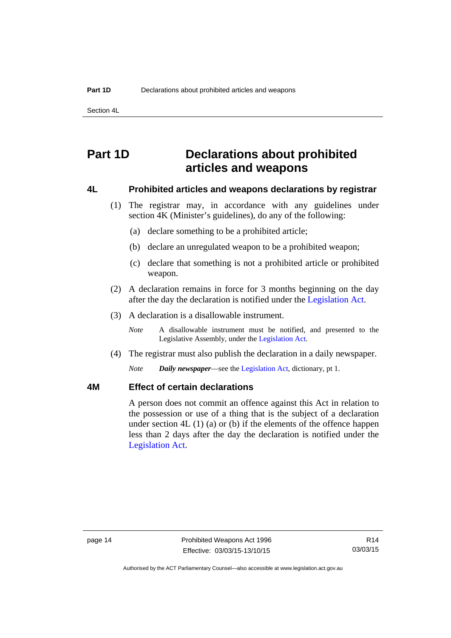Section 4L

## <span id="page-19-0"></span>**Part 1D Declarations about prohibited articles and weapons**

#### <span id="page-19-1"></span>**4L Prohibited articles and weapons declarations by registrar**

- (1) The registrar may, in accordance with any guidelines under section 4K (Minister's guidelines), do any of the following:
	- (a) declare something to be a prohibited article;
	- (b) declare an unregulated weapon to be a prohibited weapon;
	- (c) declare that something is not a prohibited article or prohibited weapon.
- (2) A declaration remains in force for 3 months beginning on the day after the day the declaration is notified under the [Legislation Act.](http://www.legislation.act.gov.au/a/2001-14)
- (3) A declaration is a disallowable instrument.

*Note* A disallowable instrument must be notified, and presented to the Legislative Assembly, under the [Legislation Act.](http://www.legislation.act.gov.au/a/2001-14)

(4) The registrar must also publish the declaration in a daily newspaper.

*Note Daily newspaper*—see the [Legislation Act,](http://www.legislation.act.gov.au/a/2001-14) dictionary, pt 1.

### <span id="page-19-2"></span>**4M Effect of certain declarations**

A person does not commit an offence against this Act in relation to the possession or use of a thing that is the subject of a declaration under section 4L (1) (a) or (b) if the elements of the offence happen less than 2 days after the day the declaration is notified under the [Legislation Act](http://www.legislation.act.gov.au/a/2001-14).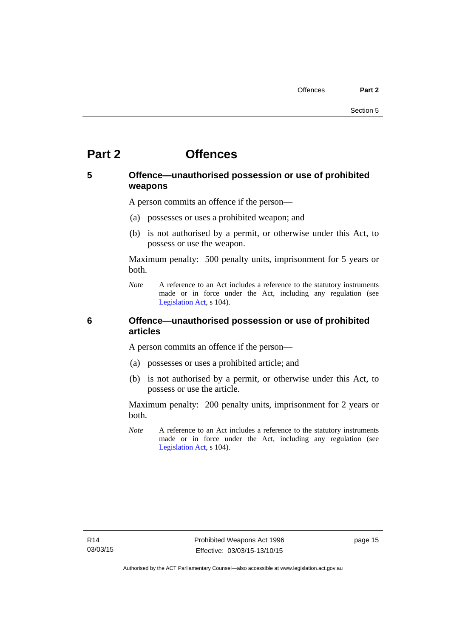## <span id="page-20-0"></span>**Part 2 Offences**

## <span id="page-20-1"></span>**5 Offence—unauthorised possession or use of prohibited weapons**

A person commits an offence if the person—

- (a) possesses or uses a prohibited weapon; and
- (b) is not authorised by a permit, or otherwise under this Act, to possess or use the weapon.

Maximum penalty: 500 penalty units, imprisonment for 5 years or both.

*Note* A reference to an Act includes a reference to the statutory instruments made or in force under the Act, including any regulation (see [Legislation Act,](http://www.legislation.act.gov.au/a/2001-14) s 104).

### <span id="page-20-2"></span>**6 Offence—unauthorised possession or use of prohibited articles**

A person commits an offence if the person—

- (a) possesses or uses a prohibited article; and
- (b) is not authorised by a permit, or otherwise under this Act, to possess or use the article.

Maximum penalty: 200 penalty units, imprisonment for 2 years or both.

*Note* A reference to an Act includes a reference to the statutory instruments made or in force under the Act, including any regulation (see [Legislation Act,](http://www.legislation.act.gov.au/a/2001-14) s 104).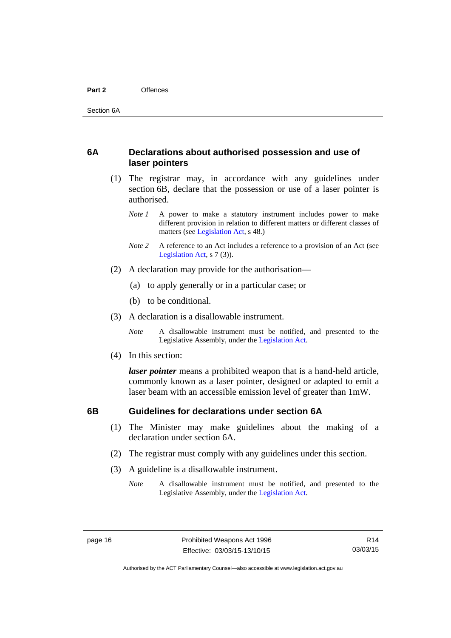### <span id="page-21-0"></span>**6A Declarations about authorised possession and use of laser pointers**

- (1) The registrar may, in accordance with any guidelines under section 6B, declare that the possession or use of a laser pointer is authorised.
	- *Note 1* A power to make a statutory instrument includes power to make different provision in relation to different matters or different classes of matters (see [Legislation Act,](http://www.legislation.act.gov.au/a/2001-14) s 48.)
	- *Note* 2 A reference to an Act includes a reference to a provision of an Act (see [Legislation Act,](http://www.legislation.act.gov.au/a/2001-14) s 7 (3)).
- (2) A declaration may provide for the authorisation—
	- (a) to apply generally or in a particular case; or
	- (b) to be conditional.
- (3) A declaration is a disallowable instrument.

*Note* A disallowable instrument must be notified, and presented to the Legislative Assembly, under the [Legislation Act.](http://www.legislation.act.gov.au/a/2001-14)

(4) In this section:

*laser pointer* means a prohibited weapon that is a hand-held article, commonly known as a laser pointer, designed or adapted to emit a laser beam with an accessible emission level of greater than 1mW.

### <span id="page-21-1"></span>**6B Guidelines for declarations under section 6A**

- (1) The Minister may make guidelines about the making of a declaration under section 6A.
- (2) The registrar must comply with any guidelines under this section.
- (3) A guideline is a disallowable instrument.
	- *Note* A disallowable instrument must be notified, and presented to the Legislative Assembly, under the [Legislation Act.](http://www.legislation.act.gov.au/a/2001-14)

R14 03/03/15

Authorised by the ACT Parliamentary Counsel—also accessible at www.legislation.act.gov.au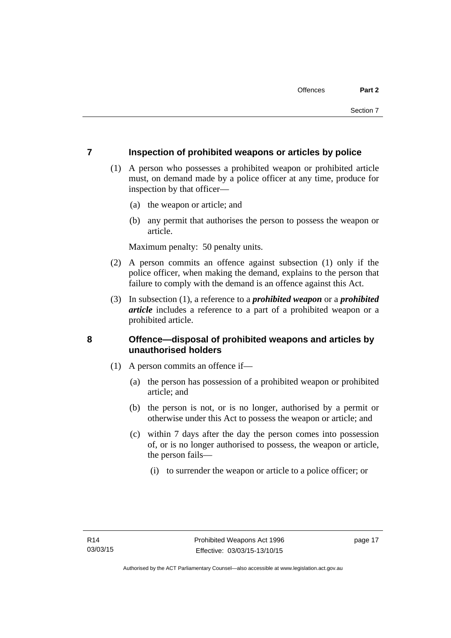### <span id="page-22-0"></span>**7 Inspection of prohibited weapons or articles by police**

- (1) A person who possesses a prohibited weapon or prohibited article must, on demand made by a police officer at any time, produce for inspection by that officer—
	- (a) the weapon or article; and
	- (b) any permit that authorises the person to possess the weapon or article.

Maximum penalty: 50 penalty units.

- (2) A person commits an offence against subsection (1) only if the police officer, when making the demand, explains to the person that failure to comply with the demand is an offence against this Act.
- (3) In subsection (1), a reference to a *prohibited weapon* or a *prohibited article* includes a reference to a part of a prohibited weapon or a prohibited article.

## <span id="page-22-1"></span>**8 Offence—disposal of prohibited weapons and articles by unauthorised holders**

- (1) A person commits an offence if—
	- (a) the person has possession of a prohibited weapon or prohibited article; and
	- (b) the person is not, or is no longer, authorised by a permit or otherwise under this Act to possess the weapon or article; and
	- (c) within 7 days after the day the person comes into possession of, or is no longer authorised to possess, the weapon or article, the person fails—
		- (i) to surrender the weapon or article to a police officer; or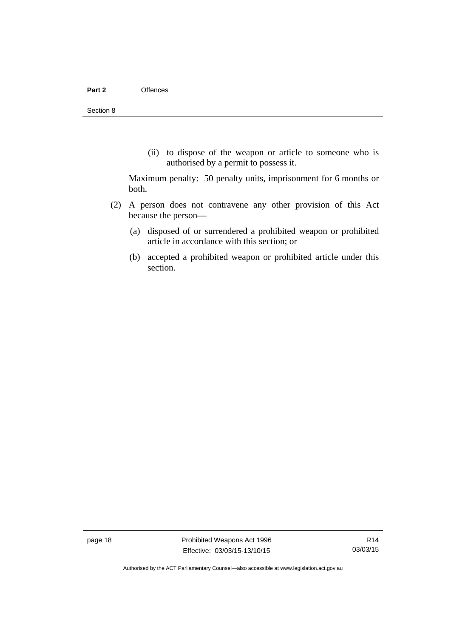(ii) to dispose of the weapon or article to someone who is authorised by a permit to possess it.

Maximum penalty: 50 penalty units, imprisonment for 6 months or both.

- (2) A person does not contravene any other provision of this Act because the person—
	- (a) disposed of or surrendered a prohibited weapon or prohibited article in accordance with this section; or
	- (b) accepted a prohibited weapon or prohibited article under this section.

page 18 **Prohibited Weapons Act 1996** Effective: 03/03/15-13/10/15

Authorised by the ACT Parliamentary Counsel—also accessible at www.legislation.act.gov.au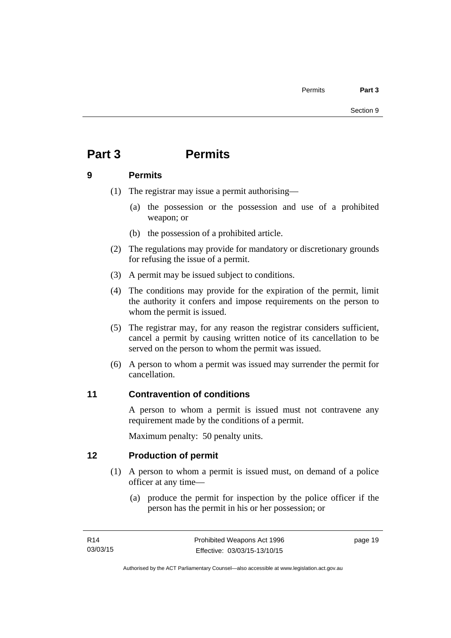## <span id="page-24-0"></span>**Part 3 Permits**

### <span id="page-24-1"></span>**9 Permits**

- (1) The registrar may issue a permit authorising—
	- (a) the possession or the possession and use of a prohibited weapon; or
	- (b) the possession of a prohibited article.
- (2) The regulations may provide for mandatory or discretionary grounds for refusing the issue of a permit.
- (3) A permit may be issued subject to conditions.
- (4) The conditions may provide for the expiration of the permit, limit the authority it confers and impose requirements on the person to whom the permit is issued.
- (5) The registrar may, for any reason the registrar considers sufficient, cancel a permit by causing written notice of its cancellation to be served on the person to whom the permit was issued.
- (6) A person to whom a permit was issued may surrender the permit for cancellation.

## <span id="page-24-2"></span>**11 Contravention of conditions**

A person to whom a permit is issued must not contravene any requirement made by the conditions of a permit.

Maximum penalty: 50 penalty units.

## <span id="page-24-3"></span>**12 Production of permit**

- (1) A person to whom a permit is issued must, on demand of a police officer at any time—
	- (a) produce the permit for inspection by the police officer if the person has the permit in his or her possession; or

page 19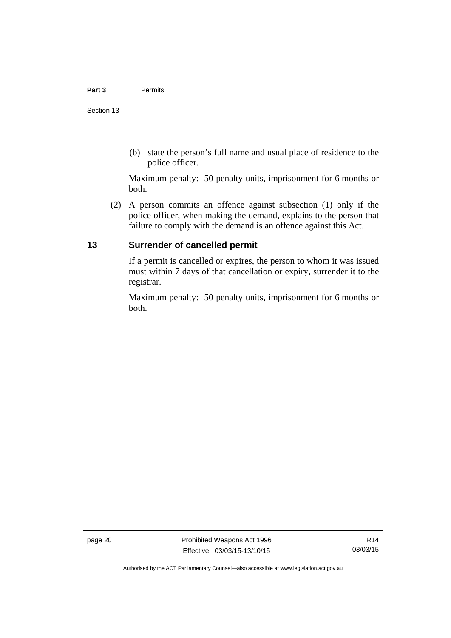(b) state the person's full name and usual place of residence to the police officer.

Maximum penalty: 50 penalty units, imprisonment for 6 months or both.

 (2) A person commits an offence against subsection (1) only if the police officer, when making the demand, explains to the person that failure to comply with the demand is an offence against this Act.

## <span id="page-25-0"></span>**13 Surrender of cancelled permit**

If a permit is cancelled or expires, the person to whom it was issued must within 7 days of that cancellation or expiry, surrender it to the registrar.

Maximum penalty: 50 penalty units, imprisonment for 6 months or both.

page 20 **Prohibited Weapons Act 1996** Effective: 03/03/15-13/10/15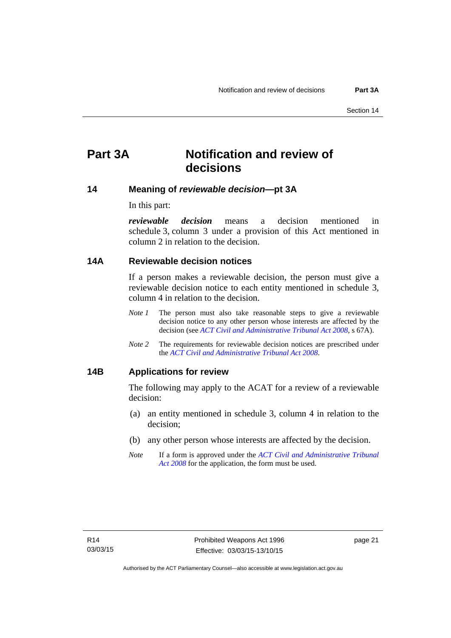## <span id="page-26-0"></span>**Part 3A Notification and review of decisions**

### <span id="page-26-1"></span>**14 Meaning of** *reviewable decision—***pt 3A**

In this part:

*reviewable decision* means a decision mentioned in schedule 3, column 3 under a provision of this Act mentioned in column 2 in relation to the decision.

#### <span id="page-26-2"></span>**14A Reviewable decision notices**

If a person makes a reviewable decision, the person must give a reviewable decision notice to each entity mentioned in schedule 3, column 4 in relation to the decision.

- *Note 1* The person must also take reasonable steps to give a reviewable decision notice to any other person whose interests are affected by the decision (see *[ACT Civil and Administrative Tribunal Act 2008](http://www.legislation.act.gov.au/a/2008-35)*, s 67A).
- *Note 2* The requirements for reviewable decision notices are prescribed under the *[ACT Civil and Administrative Tribunal Act 2008](http://www.legislation.act.gov.au/a/2008-35)*.

### <span id="page-26-3"></span>**14B Applications for review**

The following may apply to the ACAT for a review of a reviewable decision:

- (a) an entity mentioned in schedule 3, column 4 in relation to the decision;
- (b) any other person whose interests are affected by the decision.
- *Note* If a form is approved under the *[ACT Civil and Administrative Tribunal](http://www.legislation.act.gov.au/a/2008-35)  [Act 2008](http://www.legislation.act.gov.au/a/2008-35)* for the application, the form must be used.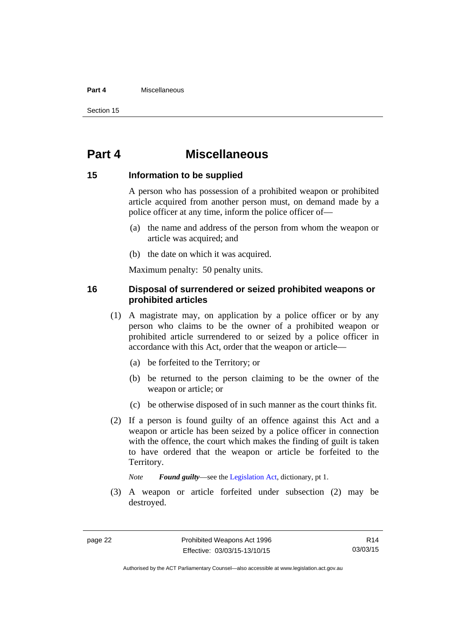#### **Part 4** Miscellaneous

Section 15

## <span id="page-27-0"></span>**Part 4 Miscellaneous**

#### <span id="page-27-1"></span>**15 Information to be supplied**

A person who has possession of a prohibited weapon or prohibited article acquired from another person must, on demand made by a police officer at any time, inform the police officer of—

- (a) the name and address of the person from whom the weapon or article was acquired; and
- (b) the date on which it was acquired.

Maximum penalty: 50 penalty units.

### <span id="page-27-2"></span>**16 Disposal of surrendered or seized prohibited weapons or prohibited articles**

- (1) A magistrate may, on application by a police officer or by any person who claims to be the owner of a prohibited weapon or prohibited article surrendered to or seized by a police officer in accordance with this Act, order that the weapon or article—
	- (a) be forfeited to the Territory; or
	- (b) be returned to the person claiming to be the owner of the weapon or article; or
	- (c) be otherwise disposed of in such manner as the court thinks fit.
- (2) If a person is found guilty of an offence against this Act and a weapon or article has been seized by a police officer in connection with the offence, the court which makes the finding of guilt is taken to have ordered that the weapon or article be forfeited to the Territory.

*Note Found guilty*—see the [Legislation Act,](http://www.legislation.act.gov.au/a/2001-14) dictionary, pt 1.

 (3) A weapon or article forfeited under subsection (2) may be destroyed.

R14 03/03/15

Authorised by the ACT Parliamentary Counsel—also accessible at www.legislation.act.gov.au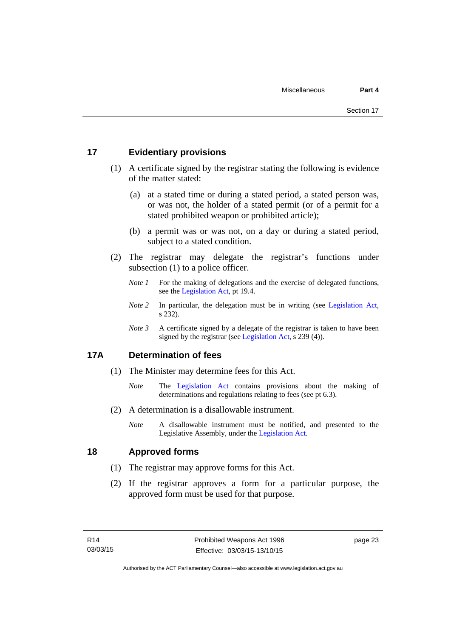### <span id="page-28-0"></span>**17 Evidentiary provisions**

- (1) A certificate signed by the registrar stating the following is evidence of the matter stated:
	- (a) at a stated time or during a stated period, a stated person was, or was not, the holder of a stated permit (or of a permit for a stated prohibited weapon or prohibited article);
	- (b) a permit was or was not, on a day or during a stated period, subject to a stated condition.
- (2) The registrar may delegate the registrar's functions under subsection (1) to a police officer.
	- *Note 1* For the making of delegations and the exercise of delegated functions, see the [Legislation Act,](http://www.legislation.act.gov.au/a/2001-14) pt 19.4.
	- *Note 2* In particular, the delegation must be in writing (see [Legislation Act,](http://www.legislation.act.gov.au/a/2001-14) s 232).
	- *Note 3* A certificate signed by a delegate of the registrar is taken to have been signed by the registrar (see [Legislation Act](http://www.legislation.act.gov.au/a/2001-14), s 239 (4)).

## <span id="page-28-1"></span>**17A Determination of fees**

- (1) The Minister may determine fees for this Act.
	- *Note* The [Legislation Act](http://www.legislation.act.gov.au/a/2001-14) contains provisions about the making of determinations and regulations relating to fees (see pt 6.3).
- (2) A determination is a disallowable instrument.
	- *Note* A disallowable instrument must be notified, and presented to the Legislative Assembly, under the [Legislation Act.](http://www.legislation.act.gov.au/a/2001-14)

### <span id="page-28-2"></span>**18 Approved forms**

- (1) The registrar may approve forms for this Act.
- (2) If the registrar approves a form for a particular purpose, the approved form must be used for that purpose.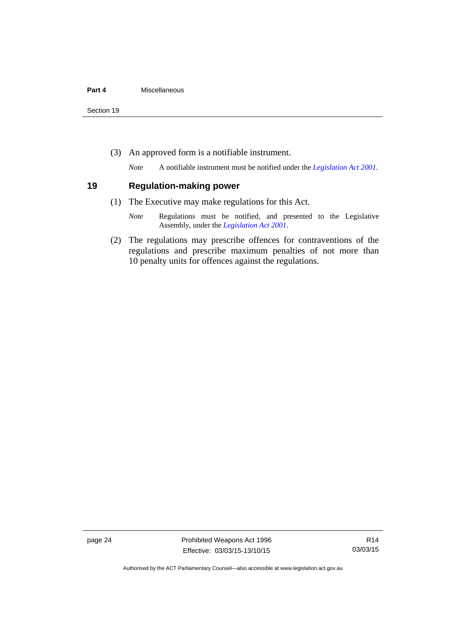Section 19

(3) An approved form is a notifiable instrument.

*Note* A notifiable instrument must be notified under the *[Legislation Act 2001](http://www.legislation.act.gov.au/a/2001-14)*.

#### <span id="page-29-0"></span>**19 Regulation-making power**

- (1) The Executive may make regulations for this Act.
	- *Note* Regulations must be notified, and presented to the Legislative Assembly, under the *[Legislation Act 2001](http://www.legislation.act.gov.au/a/2001-14)*.
- (2) The regulations may prescribe offences for contraventions of the regulations and prescribe maximum penalties of not more than 10 penalty units for offences against the regulations.

page 24 **Prohibited Weapons Act 1996** Effective: 03/03/15-13/10/15

Authorised by the ACT Parliamentary Counsel—also accessible at www.legislation.act.gov.au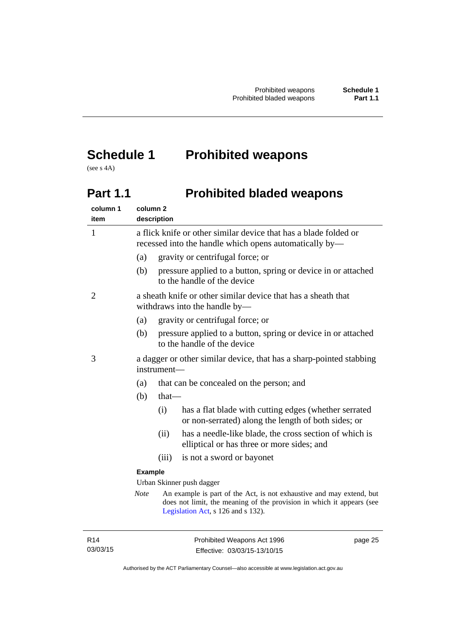## <span id="page-30-0"></span>**Schedule 1 Prohibited weapons**

(see s 4A)

## <span id="page-30-1"></span>Part 1.1 **Prohibited bladed weapons**

| column 1<br>item | column <sub>2</sub> | description                                                                                                                |                                                                                                                                                                                     |
|------------------|---------------------|----------------------------------------------------------------------------------------------------------------------------|-------------------------------------------------------------------------------------------------------------------------------------------------------------------------------------|
| $\mathbf{1}$     |                     | a flick knife or other similar device that has a blade folded or<br>recessed into the handle which opens automatically by— |                                                                                                                                                                                     |
|                  | (a)                 |                                                                                                                            | gravity or centrifugal force; or                                                                                                                                                    |
|                  | (b)                 |                                                                                                                            | pressure applied to a button, spring or device in or attached<br>to the handle of the device                                                                                        |
| 2                |                     | a sheath knife or other similar device that has a sheath that<br>withdraws into the handle by-                             |                                                                                                                                                                                     |
|                  | (a)                 |                                                                                                                            | gravity or centrifugal force; or                                                                                                                                                    |
|                  | (b)                 |                                                                                                                            | pressure applied to a button, spring or device in or attached<br>to the handle of the device                                                                                        |
| 3                |                     | a dagger or other similar device, that has a sharp-pointed stabbing<br>instrument-                                         |                                                                                                                                                                                     |
|                  | (a)                 |                                                                                                                            | that can be concealed on the person; and                                                                                                                                            |
|                  | (b)                 | $that$ —                                                                                                                   |                                                                                                                                                                                     |
|                  |                     | (i)                                                                                                                        | has a flat blade with cutting edges (whether serrated<br>or non-serrated) along the length of both sides; or                                                                        |
|                  |                     | (ii)                                                                                                                       | has a needle-like blade, the cross section of which is<br>elliptical or has three or more sides; and                                                                                |
|                  |                     | (iii)                                                                                                                      | is not a sword or bayonet                                                                                                                                                           |
|                  | <b>Example</b>      |                                                                                                                            |                                                                                                                                                                                     |
|                  |                     |                                                                                                                            | Urban Skinner push dagger                                                                                                                                                           |
|                  | <b>Note</b>         |                                                                                                                            | An example is part of the Act, is not exhaustive and may extend, but<br>does not limit, the meaning of the provision in which it appears (see<br>Legislation Act, s 126 and s 132). |
|                  |                     |                                                                                                                            |                                                                                                                                                                                     |

R14 03/03/15 page 25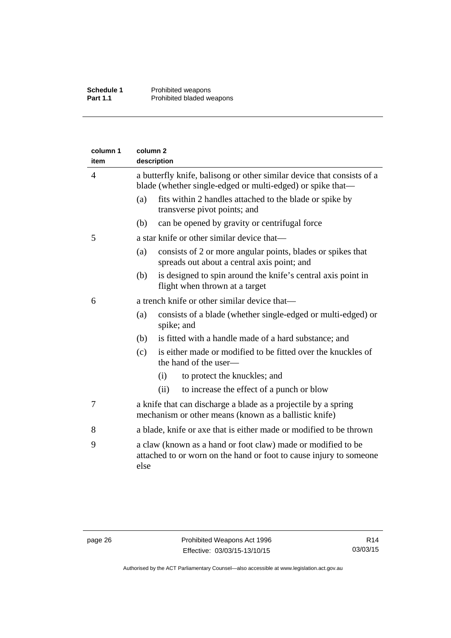| column 1<br>item | column <sub>2</sub><br>description                                                                                                   |                                                                                                                                    |  |  |
|------------------|--------------------------------------------------------------------------------------------------------------------------------------|------------------------------------------------------------------------------------------------------------------------------------|--|--|
| $\overline{4}$   | a butterfly knife, balisong or other similar device that consists of a<br>blade (whether single-edged or multi-edged) or spike that— |                                                                                                                                    |  |  |
|                  | (a)                                                                                                                                  | fits within 2 handles attached to the blade or spike by<br>transverse pivot points; and                                            |  |  |
|                  | (b)                                                                                                                                  | can be opened by gravity or centrifugal force                                                                                      |  |  |
| 5                |                                                                                                                                      | a star knife or other similar device that—                                                                                         |  |  |
|                  | (a)                                                                                                                                  | consists of 2 or more angular points, blades or spikes that<br>spreads out about a central axis point; and                         |  |  |
|                  | (b)                                                                                                                                  | is designed to spin around the knife's central axis point in<br>flight when thrown at a target                                     |  |  |
| 6                |                                                                                                                                      | a trench knife or other similar device that—                                                                                       |  |  |
|                  | (a)                                                                                                                                  | consists of a blade (whether single-edged or multi-edged) or<br>spike; and                                                         |  |  |
|                  | (b)                                                                                                                                  | is fitted with a handle made of a hard substance; and                                                                              |  |  |
|                  | (c)                                                                                                                                  | is either made or modified to be fitted over the knuckles of<br>the hand of the user-                                              |  |  |
|                  |                                                                                                                                      | (i)<br>to protect the knuckles; and                                                                                                |  |  |
|                  |                                                                                                                                      | (ii)<br>to increase the effect of a punch or blow                                                                                  |  |  |
| 7                |                                                                                                                                      | a knife that can discharge a blade as a projectile by a spring<br>mechanism or other means (known as a ballistic knife)            |  |  |
| 8                |                                                                                                                                      | a blade, knife or axe that is either made or modified to be thrown                                                                 |  |  |
| 9                | else                                                                                                                                 | a claw (known as a hand or foot claw) made or modified to be<br>attached to or worn on the hand or foot to cause injury to someone |  |  |
|                  |                                                                                                                                      |                                                                                                                                    |  |  |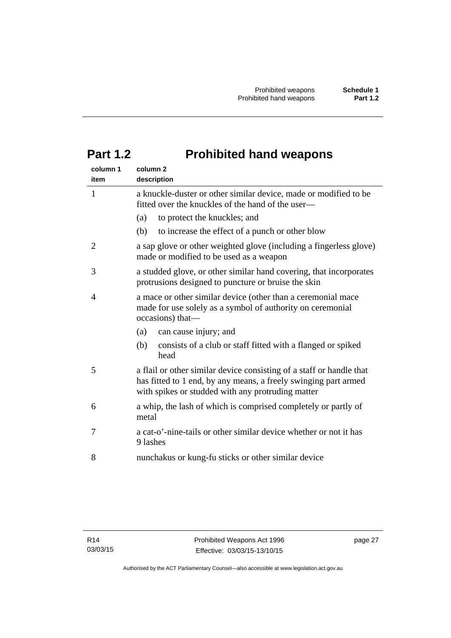## <span id="page-32-0"></span>**Part 1.2 Prohibited hand weapons**

| column 1<br>item | column <sub>2</sub><br>description                                                                                                                                                           |
|------------------|----------------------------------------------------------------------------------------------------------------------------------------------------------------------------------------------|
| 1                | a knuckle-duster or other similar device, made or modified to be<br>fitted over the knuckles of the hand of the user—                                                                        |
|                  | to protect the knuckles; and<br>(a)                                                                                                                                                          |
|                  | to increase the effect of a punch or other blow<br>(b)                                                                                                                                       |
| 2                | a sap glove or other weighted glove (including a fingerless glove)<br>made or modified to be used as a weapon                                                                                |
| 3                | a studded glove, or other similar hand covering, that incorporates<br>protrusions designed to puncture or bruise the skin                                                                    |
| 4                | a mace or other similar device (other than a ceremonial mace<br>made for use solely as a symbol of authority on ceremonial<br>occasions) that-                                               |
|                  | can cause injury; and<br>(a)                                                                                                                                                                 |
|                  | consists of a club or staff fitted with a flanged or spiked<br>(b)<br>head                                                                                                                   |
| 5                | a flail or other similar device consisting of a staff or handle that<br>has fitted to 1 end, by any means, a freely swinging part armed<br>with spikes or studded with any protruding matter |
| 6                | a whip, the lash of which is comprised completely or partly of<br>metal                                                                                                                      |
| 7                | a cat-o'-nine-tails or other similar device whether or not it has<br>9 lashes                                                                                                                |
| 8                | nunchakus or kung-fu sticks or other similar device                                                                                                                                          |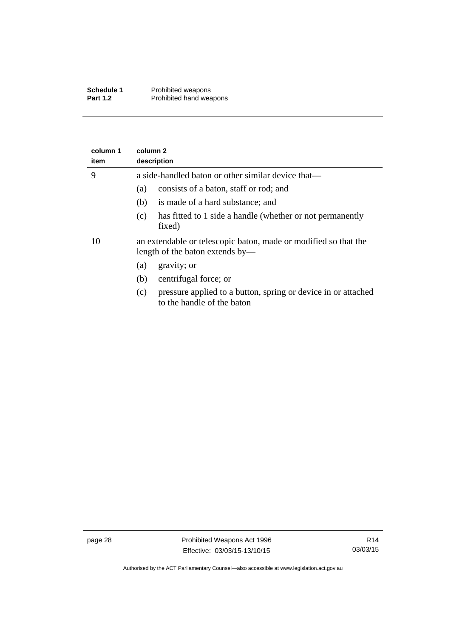| Schedule 1      | Prohibited weapons      |
|-----------------|-------------------------|
| <b>Part 1.2</b> | Prohibited hand weapons |

| column 1<br>item | column 2<br>description                                                                            |  |  |  |
|------------------|----------------------------------------------------------------------------------------------------|--|--|--|
| 9                | a side-handled baton or other similar device that—                                                 |  |  |  |
|                  | consists of a baton, staff or rod; and<br>(a)                                                      |  |  |  |
|                  | is made of a hard substance; and<br>(b)                                                            |  |  |  |
|                  | has fitted to 1 side a handle (whether or not permanently<br>(c)<br>fixed)                         |  |  |  |
| 10               | an extendable or telescopic baton, made or modified so that the<br>length of the baton extends by— |  |  |  |
|                  | gravity; or<br>(a)                                                                                 |  |  |  |
|                  | centrifugal force; or<br>(b)                                                                       |  |  |  |
|                  | pressure applied to a button, spring or device in or attached<br>(c)<br>to the handle of the baton |  |  |  |

Authorised by the ACT Parliamentary Counsel—also accessible at www.legislation.act.gov.au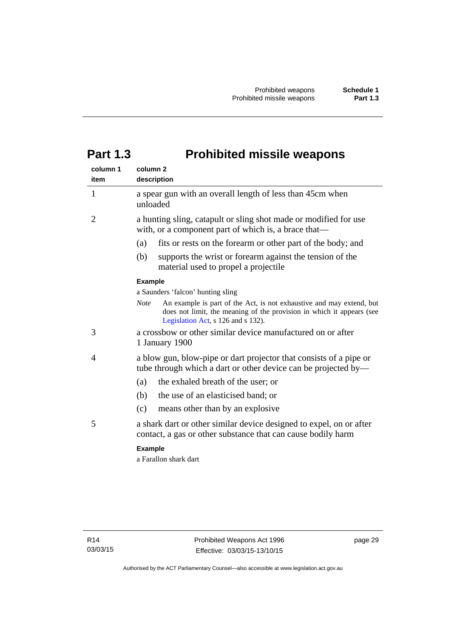## <span id="page-34-0"></span>**Part 1.3 Prohibited missile weapons**

| column 1<br>item | column <sub>2</sub><br>description                                                                                                                                                                 |  |
|------------------|----------------------------------------------------------------------------------------------------------------------------------------------------------------------------------------------------|--|
| 1                | a spear gun with an overall length of less than 45cm when<br>unloaded                                                                                                                              |  |
| 2                | a hunting sling, catapult or sling shot made or modified for use<br>with, or a component part of which is, a brace that—                                                                           |  |
|                  | fits or rests on the forearm or other part of the body; and<br>(a)                                                                                                                                 |  |
|                  | (b)<br>supports the wrist or forearm against the tension of the<br>material used to propel a projectile                                                                                            |  |
|                  | <b>Example</b>                                                                                                                                                                                     |  |
|                  | a Saunders 'falcon' hunting sling                                                                                                                                                                  |  |
|                  | <b>Note</b><br>An example is part of the Act, is not exhaustive and may extend, but<br>does not limit, the meaning of the provision in which it appears (see<br>Legislation Act, s 126 and s 132). |  |
| 3                | a crossbow or other similar device manufactured on or after<br>1 January 1900                                                                                                                      |  |
| 4                | a blow gun, blow-pipe or dart projector that consists of a pipe or<br>tube through which a dart or other device can be projected by—                                                               |  |
|                  | the exhaled breath of the user; or<br>(a)                                                                                                                                                          |  |
|                  | the use of an elasticised band; or<br>(b)                                                                                                                                                          |  |
|                  | (c)<br>means other than by an explosive                                                                                                                                                            |  |
| 5                | a shark dart or other similar device designed to expel, on or after<br>contact, a gas or other substance that can cause bodily harm                                                                |  |
|                  | <b>Example</b>                                                                                                                                                                                     |  |
|                  | a Farallon shark dart                                                                                                                                                                              |  |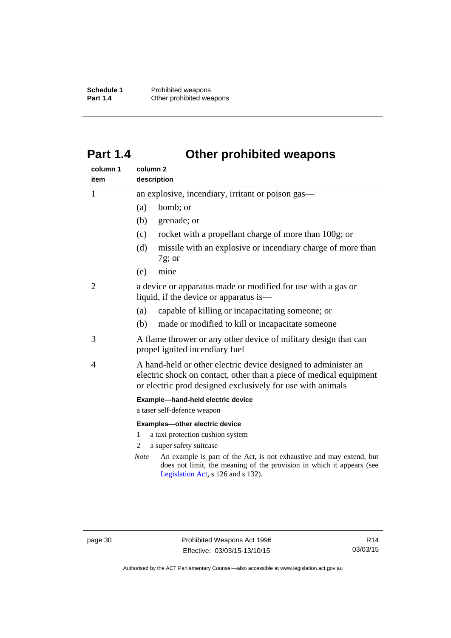**Schedule 1** Prohibited weapons<br> **Part 1.4** Other prohibited wea **Other prohibited weapons** 

## <span id="page-35-0"></span>**Part 1.4 Other prohibited weapons**

| column 1<br>item | column <sub>2</sub><br>description                                                                                                                                                                                            |  |
|------------------|-------------------------------------------------------------------------------------------------------------------------------------------------------------------------------------------------------------------------------|--|
| $\mathbf{1}$     | an explosive, incendiary, irritant or poison gas—                                                                                                                                                                             |  |
|                  | bomb; or<br>(a)                                                                                                                                                                                                               |  |
|                  | (b)<br>grenade; or                                                                                                                                                                                                            |  |
|                  | rocket with a propellant charge of more than 100g; or<br>(c)                                                                                                                                                                  |  |
|                  | missile with an explosive or incendiary charge of more than<br>(d)<br>$7g$ ; or                                                                                                                                               |  |
|                  | (e)<br>mine                                                                                                                                                                                                                   |  |
| 2                | a device or apparatus made or modified for use with a gas or<br>liquid, if the device or apparatus is—                                                                                                                        |  |
|                  | capable of killing or incapacitating someone; or<br>(a)                                                                                                                                                                       |  |
|                  | (b)<br>made or modified to kill or incapacitate someone                                                                                                                                                                       |  |
| 3                | A flame thrower or any other device of military design that can<br>propel ignited incendiary fuel                                                                                                                             |  |
| 4                | A hand-held or other electric device designed to administer an<br>electric shock on contact, other than a piece of medical equipment<br>or electric prod designed exclusively for use with animals                            |  |
|                  | Example-hand-held electric device                                                                                                                                                                                             |  |
|                  | a taser self-defence weapon                                                                                                                                                                                                   |  |
|                  | Examples-other electric device                                                                                                                                                                                                |  |
|                  | a taxi protection cushion system<br>1<br>2                                                                                                                                                                                    |  |
|                  | a super safety suitcase<br>An example is part of the Act, is not exhaustive and may extend, but<br><b>Note</b><br>does not limit, the meaning of the provision in which it appears (see<br>Legislation Act, s 126 and s 132). |  |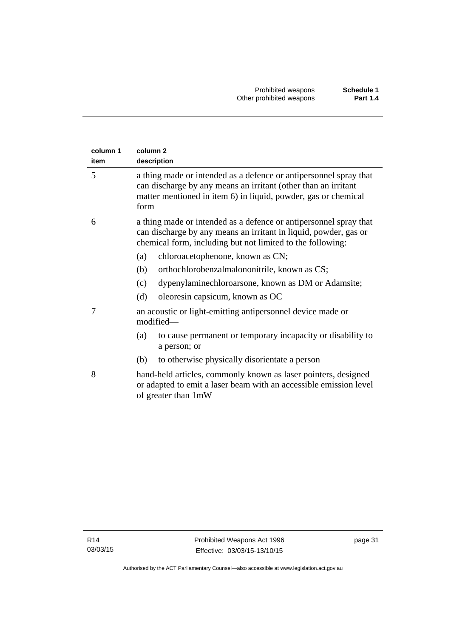| column <sub>2</sub><br>description                                                                                                                                                                            |  |  |
|---------------------------------------------------------------------------------------------------------------------------------------------------------------------------------------------------------------|--|--|
| a thing made or intended as a defence or antipersonnel spray that<br>can discharge by any means an irritant (other than an irritant<br>matter mentioned in item 6) in liquid, powder, gas or chemical<br>form |  |  |
| a thing made or intended as a defence or antipersonnel spray that<br>can discharge by any means an irritant in liquid, powder, gas or<br>chemical form, including but not limited to the following:           |  |  |
| chloroacetophenone, known as CN;<br>(a)                                                                                                                                                                       |  |  |
| (b)<br>orthochlorobenzalmalononitrile, known as CS;                                                                                                                                                           |  |  |
| dypenylaminechloroarsone, known as DM or Adamsite;<br>(c)                                                                                                                                                     |  |  |
| (d)<br>oleoresin capsicum, known as OC                                                                                                                                                                        |  |  |
| an acoustic or light-emitting antipersonnel device made or<br>modified-                                                                                                                                       |  |  |
| to cause permanent or temporary incapacity or disability to<br>(a)<br>a person; or                                                                                                                            |  |  |
| to otherwise physically disorientate a person<br>(b)                                                                                                                                                          |  |  |
| hand-held articles, commonly known as laser pointers, designed<br>or adapted to emit a laser beam with an accessible emission level<br>of greater than 1mW                                                    |  |  |
|                                                                                                                                                                                                               |  |  |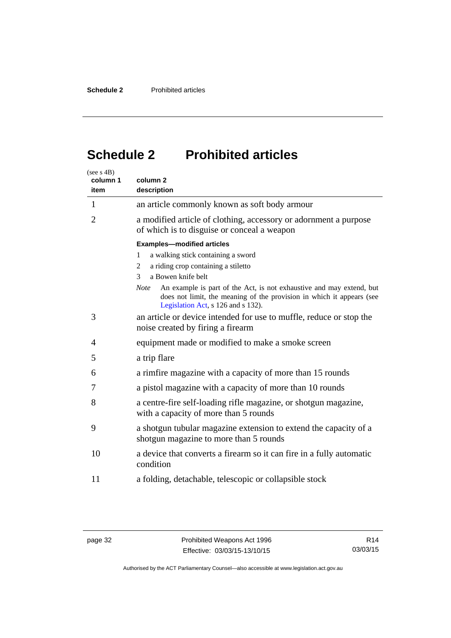## <span id="page-37-0"></span>**Schedule 2 Prohibited articles**

| (see $s$ 4B)<br>column 1<br>item  | column <sub>2</sub><br>description                                                                                                                                                                 |  |
|-----------------------------------|----------------------------------------------------------------------------------------------------------------------------------------------------------------------------------------------------|--|
| $\mathbf{1}$                      | an article commonly known as soft body armour                                                                                                                                                      |  |
| $\overline{2}$                    | a modified article of clothing, accessory or adornment a purpose<br>of which is to disguise or conceal a weapon                                                                                    |  |
| <b>Examples-modified articles</b> |                                                                                                                                                                                                    |  |
|                                   | a walking stick containing a sword<br>1                                                                                                                                                            |  |
|                                   | a riding crop containing a stiletto<br>2                                                                                                                                                           |  |
|                                   | a Bowen knife belt<br>3                                                                                                                                                                            |  |
|                                   | An example is part of the Act, is not exhaustive and may extend, but<br><b>Note</b><br>does not limit, the meaning of the provision in which it appears (see<br>Legislation Act, s 126 and s 132). |  |
| 3                                 | an article or device intended for use to muffle, reduce or stop the<br>noise created by firing a firearm                                                                                           |  |
| 4                                 | equipment made or modified to make a smoke screen                                                                                                                                                  |  |
| 5                                 | a trip flare                                                                                                                                                                                       |  |
| 6                                 | a rimfire magazine with a capacity of more than 15 rounds                                                                                                                                          |  |
| 7                                 | a pistol magazine with a capacity of more than 10 rounds                                                                                                                                           |  |
| 8                                 | a centre-fire self-loading rifle magazine, or shotgun magazine,<br>with a capacity of more than 5 rounds                                                                                           |  |
| 9                                 | a shotgun tubular magazine extension to extend the capacity of a<br>shotgun magazine to more than 5 rounds                                                                                         |  |
| 10                                | a device that converts a firearm so it can fire in a fully automatic<br>condition                                                                                                                  |  |
| 11                                | a folding, detachable, telescopic or collapsible stock                                                                                                                                             |  |

Authorised by the ACT Parliamentary Counsel—also accessible at www.legislation.act.gov.au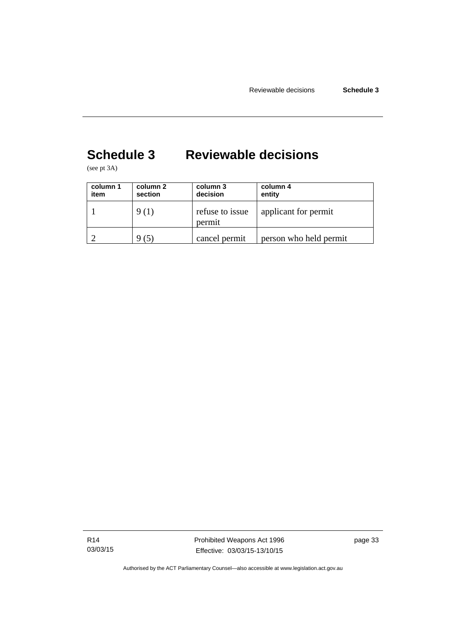## <span id="page-38-0"></span>**Schedule 3 Reviewable decisions**

(see pt 3A)

| column 1<br>item | column 2<br>section | column 3<br>decision      | column 4<br>entity     |
|------------------|---------------------|---------------------------|------------------------|
|                  | 9 (1)               | refuse to issue<br>permit | applicant for permit   |
|                  | (5)                 | cancel permit             | person who held permit |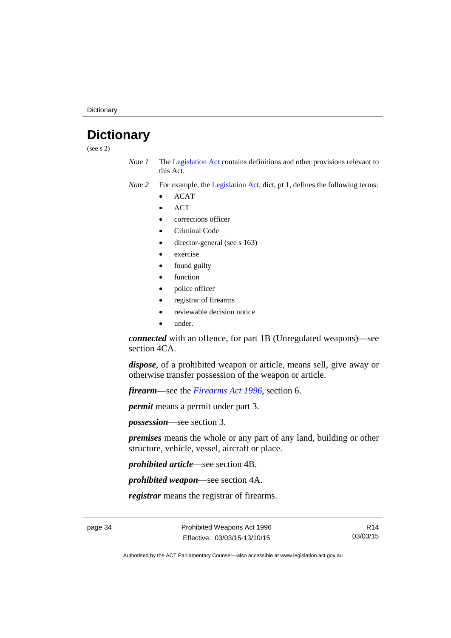**Dictionary** 

## <span id="page-39-0"></span>**Dictionary**

(see s 2)

- *Note 1* The [Legislation Act](http://www.legislation.act.gov.au/a/2001-14) contains definitions and other provisions relevant to this Act.
- *Note 2* For example, the [Legislation Act,](http://www.legislation.act.gov.au/a/2001-14) dict, pt 1, defines the following terms:
	- ACAT
	- **ACT**
	- corrections officer
	- Criminal Code
	- director-general (see s 163)
	- exercise
	- found guilty
	- function
	- police officer
	- registrar of firearms
	- reviewable decision notice
	- under.

*connected* with an offence, for part 1B (Unregulated weapons)—see section 4CA.

*dispose*, of a prohibited weapon or article, means sell, give away or otherwise transfer possession of the weapon or article.

*firearm*—see the *[Firearms Act 1996](http://www.legislation.act.gov.au/a/1996-74)*, section 6.

*permit* means a permit under part 3.

*possession*—see section 3.

*premises* means the whole or any part of any land, building or other structure, vehicle, vessel, aircraft or place.

*prohibited article*—see section 4B.

*prohibited weapon*—see section 4A.

*registrar* means the registrar of firearms.

page 34 **Prohibited Weapons Act 1996** Effective: 03/03/15-13/10/15

R14 03/03/15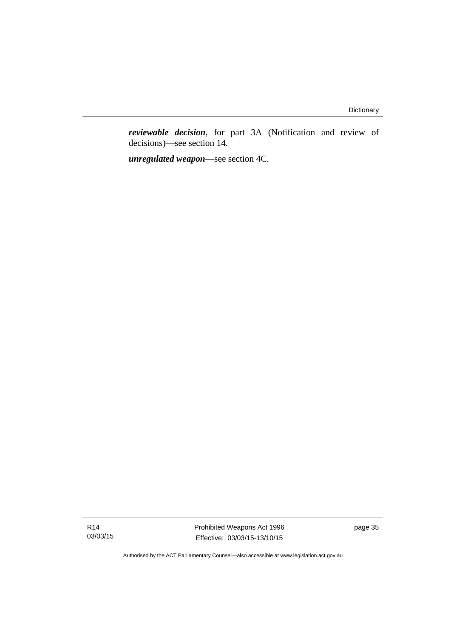*reviewable decision*, for part 3A (Notification and review of decisions)—see section 14.

*unregulated weapon*—see section 4C.

R14 03/03/15 Prohibited Weapons Act 1996 Effective: 03/03/15-13/10/15

page 35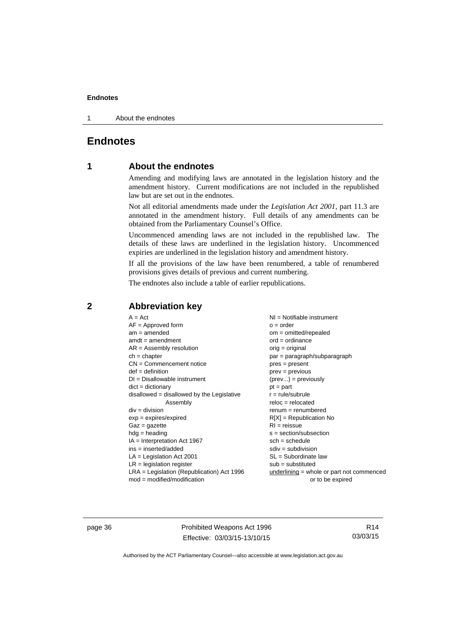1 About the endnotes

### <span id="page-41-0"></span>**Endnotes**

### **1 About the endnotes**

Amending and modifying laws are annotated in the legislation history and the amendment history. Current modifications are not included in the republished law but are set out in the endnotes.

Not all editorial amendments made under the *Legislation Act 2001*, part 11.3 are annotated in the amendment history. Full details of any amendments can be obtained from the Parliamentary Counsel's Office.

Uncommenced amending laws are not included in the republished law. The details of these laws are underlined in the legislation history. Uncommenced expiries are underlined in the legislation history and amendment history.

If all the provisions of the law have been renumbered, a table of renumbered provisions gives details of previous and current numbering.

The endnotes also include a table of earlier republications.

#### <span id="page-41-2"></span>**2 Abbreviation key**

page 36 **Prohibited Weapons Act 1996** Effective: 03/03/15-13/10/15

R14 03/03/15

<span id="page-41-1"></span>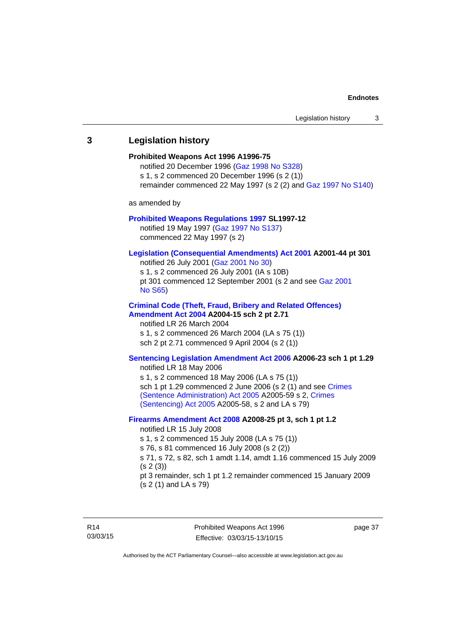## <span id="page-42-0"></span>**3 Legislation history Prohibited Weapons Act 1996 A1996-75**  notified 20 December 1996 [\(Gaz 1998 No S328](http://www.legislation.act.gov.au/gaz/1998-S328/default.asp)) s 1, s 2 commenced 20 December 1996 (s 2 (1)) remainder commenced 22 May 1997 (s 2 (2) and [Gaz 1997 No S140\)](http://www.legislation.act.gov.au/gaz/1997-S140/default.asp) as amended by **[Prohibited Weapons Regulations 1997](http://www.legislation.act.gov.au/sl/1997-12/default.asp) SL1997-12**  notified 19 May 1997 ([Gaz 1997 No S137](http://www.legislation.act.gov.au/gaz/1997-S137/default.asp)) commenced 22 May 1997 (s 2) **[Legislation \(Consequential Amendments\) Act 2001](http://www.legislation.act.gov.au/a/2001-44) A2001-44 pt 301**  notified 26 July 2001 ([Gaz 2001 No 30\)](http://www.legislation.act.gov.au/gaz/2001-30/default.asp) s 1, s 2 commenced 26 July 2001 (IA s 10B) pt 301 commenced 12 September 2001 (s 2 and see [Gaz 2001](http://www.legislation.act.gov.au/gaz/2001-S65/default.asp)  [No S65](http://www.legislation.act.gov.au/gaz/2001-S65/default.asp)) **[Criminal Code \(Theft, Fraud, Bribery and Related Offences\)](http://www.legislation.act.gov.au/a/2004-15/default.asp)  [Amendment Act 2004](http://www.legislation.act.gov.au/a/2004-15/default.asp) A2004-15 sch 2 pt 2.71**  notified LR 26 March 2004 s 1, s 2 commenced 26 March 2004 (LA s 75 (1)) sch 2 pt 2.71 commenced 9 April 2004 (s 2 (1)) **[Sentencing Legislation Amendment Act 2006](http://www.legislation.act.gov.au/a/2006-23) A2006-23 sch 1 pt 1.29**  notified LR 18 May 2006 s 1, s 2 commenced 18 May 2006 (LA s 75 (1)) sch 1 pt 1.29 commenced 2 June 2006 (s 2 (1) and see Crimes [\(Sentence Administration\) Act 2005](http://www.legislation.act.gov.au/a/2005-59) A2005-59 s 2, [Crimes](http://www.legislation.act.gov.au/a/2005-58)  [\(Sentencing\) Act 2005](http://www.legislation.act.gov.au/a/2005-58) A2005-58, s 2 and LA s 79) **[Firearms Amendment Act 2008](http://www.legislation.act.gov.au/a/2008-25) A2008-25 pt 3, sch 1 pt 1.2**  notified LR 15 July 2008 s 1, s 2 commenced 15 July 2008 (LA s 75 (1)) s 76, s 81 commenced 16 July 2008 (s 2 (2)) s 71, s 72, s 82, sch 1 amdt 1.14, amdt 1.16 commenced 15 July 2009 (s 2 (3)) pt 3 remainder, sch 1 pt 1.2 remainder commenced 15 January 2009 (s 2 (1) and LA s 79)

page 37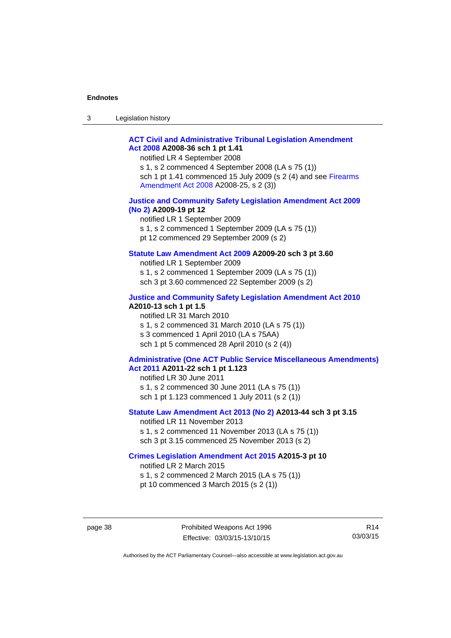| $\sqrt{2}$<br>- 3 | Legislation history |  |
|-------------------|---------------------|--|
|-------------------|---------------------|--|

#### **[ACT Civil and Administrative Tribunal Legislation Amendment](http://www.legislation.act.gov.au/a/2008-36)  [Act 2008](http://www.legislation.act.gov.au/a/2008-36) A2008-36 sch 1 pt 1.41**

notified LR 4 September 2008

s 1, s 2 commenced 4 September 2008 (LA s 75 (1)) sch 1 pt 1.41 commenced 15 July 2009 (s 2 (4) and see [Firearms](http://www.legislation.act.gov.au/a/2008-25)  [Amendment Act 2008](http://www.legislation.act.gov.au/a/2008-25) A2008-25, s 2 (3))

#### **[Justice and Community Safety Legislation Amendment Act 2009](http://www.legislation.act.gov.au/a/2009-19)  [\(No 2\)](http://www.legislation.act.gov.au/a/2009-19) A2009-19 pt 12**

notified LR 1 September 2009 s 1, s 2 commenced 1 September 2009 (LA s 75 (1)) pt 12 commenced 29 September 2009 (s 2)

#### **[Statute Law Amendment Act 2009](http://www.legislation.act.gov.au/a/2009-20) A2009-20 sch 3 pt 3.60**

notified LR 1 September 2009 s 1, s 2 commenced 1 September 2009 (LA s 75 (1)) sch 3 pt 3.60 commenced 22 September 2009 (s 2)

#### **[Justice and Community Safety Legislation Amendment Act 2010](http://www.legislation.act.gov.au/a/2010-13)**

**A2010-13 sch 1 pt 1.5**  notified LR 31 March 2010 s 1, s 2 commenced 31 March 2010 (LA s 75 (1)) s 3 commenced 1 April 2010 (LA s 75AA) sch 1 pt 5 commenced 28 April 2010 (s 2 (4))

#### **[Administrative \(One ACT Public Service Miscellaneous Amendments\)](http://www.legislation.act.gov.au/a/2011-22)  [Act 2011](http://www.legislation.act.gov.au/a/2011-22) A2011-22 sch 1 pt 1.123**

notified LR 30 June 2011 s 1, s 2 commenced 30 June 2011 (LA s 75 (1)) sch 1 pt 1.123 commenced 1 July 2011 (s 2 (1))

#### **[Statute Law Amendment Act 2013 \(No 2\)](http://www.legislation.act.gov.au/a/2013-44) A2013-44 sch 3 pt 3.15**

notified LR 11 November 2013 s 1, s 2 commenced 11 November 2013 (LA s 75 (1)) sch 3 pt 3.15 commenced 25 November 2013 (s 2)

#### **[Crimes Legislation Amendment Act 2015](http://www.legislation.act.gov.au/a/2015-3/default.asp) A2015-3 pt 10**

notified LR 2 March 2015

s 1, s 2 commenced 2 March 2015 (LA s 75 (1))

pt 10 commenced 3 March 2015 (s 2 (1))

page 38 **Prohibited Weapons Act 1996** Effective: 03/03/15-13/10/15

R14 03/03/15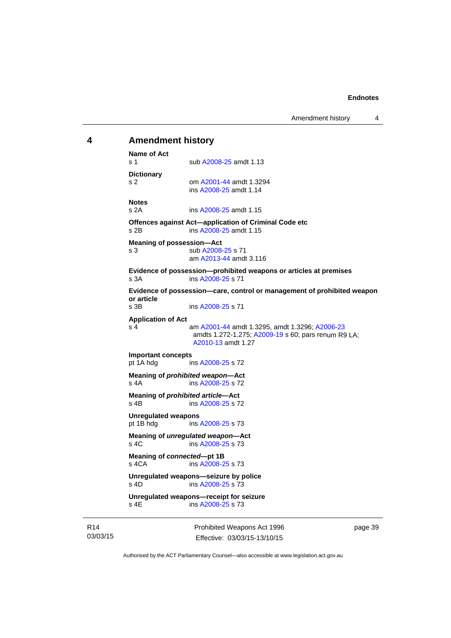### <span id="page-44-0"></span>**4 Amendment history Name of Act**

s 1 sub [A2008-25](http://www.legislation.act.gov.au/a/2008-25) amdt 1.13 **Dictionary**  s 2 om [A2001-44](http://www.legislation.act.gov.au/a/2001-44) amdt 1.3294 ins [A2008-25](http://www.legislation.act.gov.au/a/2008-25) amdt 1.14 **Notes**  s 2A ins [A2008-25](http://www.legislation.act.gov.au/a/2008-25) amdt 1.15 **Offences against Act—application of Criminal Code etc**  s 2B ins [A2008-25](http://www.legislation.act.gov.au/a/2008-25) amdt 1.15 **Meaning of possession—Act**  s 3 sub [A2008-25](http://www.legislation.act.gov.au/a/2008-25) s 71 am [A2013-44](http://www.legislation.act.gov.au/a/2013-44) amdt 3.116 **Evidence of possession—prohibited weapons or articles at premises**  s 3A ins [A2008-25](http://www.legislation.act.gov.au/a/2008-25) s 71 **Evidence of possession—care, control or management of prohibited weapon or article**  ins [A2008-25](http://www.legislation.act.gov.au/a/2008-25) s 71 **Application of Act**  s 4 am [A2001-44](http://www.legislation.act.gov.au/a/2001-44) amdt 1.3295, amdt 1.3296; [A2006-23](http://www.legislation.act.gov.au/a/2006-23) amdts 1.272-1.275; [A2009-19](http://www.legislation.act.gov.au/a/2009-19) s 60; pars renum R9 LA; [A2010-13](http://www.legislation.act.gov.au/a/2010-13) amdt 1.27 **Important concepts**  ins [A2008-25](http://www.legislation.act.gov.au/a/2008-25) s 72 **Meaning of** *prohibited weapon***—Act**  s 4A ins [A2008-25](http://www.legislation.act.gov.au/a/2008-25) s 72 **Meaning of** *prohibited article***—Act**  s 4B ins [A2008-25](http://www.legislation.act.gov.au/a/2008-25) s 72 **Unregulated weapons**  pt 1B hdg ins [A2008-25](http://www.legislation.act.gov.au/a/2008-25) s 73 **Meaning of** *unregulated weapon***—Act**  s 4C ins [A2008-25](http://www.legislation.act.gov.au/a/2008-25) s 73 **Meaning of** *connected***—pt 1B**  s 4CA ins [A2008-25](http://www.legislation.act.gov.au/a/2008-25) s 73 **Unregulated weapons—seizure by police**  s 4D ins [A2008-25](http://www.legislation.act.gov.au/a/2008-25) s 73 **Unregulated weapons—receipt for seizure**   $ins A2008-25 s 73$  $ins A2008-25 s 73$  $ins A2008-25 s 73$ 

R14 03/03/15 Prohibited Weapons Act 1996 Effective: 03/03/15-13/10/15

page 39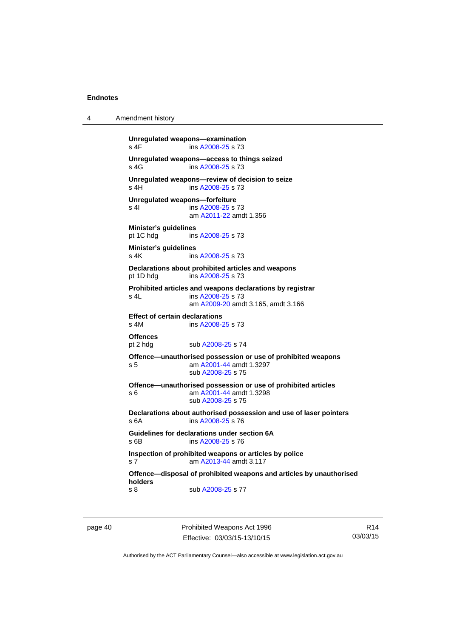```
4 Amendment history 
          Unregulated weapons—examination 
          A2008-25 s 73
          Unregulated weapons—access to things seized 
          A2008-25 s 73
          Unregulated weapons—review of decision to seize 
           A2008-25 s 73
          Unregulated weapons—forfeiture 
          A2008-25 s 73
                          am A2011-22 amdt 1.356
          Minister's guidelines 
          pt 1C hdg ins A2008-25 s 73 
          Minister's guidelines 
          A2008-25 s 73
          Declarations about prohibited articles and weapons 
          pt 1D hdg ins A2008-25 s 73 
          Prohibited articles and weapons declarations by registrar 
          s 4L ins A2008-25 s 73 
                           am A2009-20 amdt 3.165, amdt 3.166 
          Effect of certain declarations 
          s 4M ins A2008-25 s 73 
          Offences<br>pt 2 hdg
                         A2008-25 s 74
          Offence—unauthorised possession or use of prohibited weapons 
          s 5 am A2001-44 amdt 1.3297 
                          sub A2008-25 s 75 
          Offence—unauthorised possession or use of prohibited articles 
          s 6 am A2001-44 amdt 1.3298 
                           sub A2008-25 s 75 
          Declarations about authorised possession and use of laser pointers 
          s 6A ins A2008-25 s 76 
          Guidelines for declarations under section 6A 
          s 6B ins A2008-25 s 76 
          Inspection of prohibited weapons or articles by police 
          s 7 am A2013-44 amdt 3.117
          Offence—disposal of prohibited weapons and articles by unauthorised 
          holders 
          A2008-25 s 77
```
page 40 Prohibited Weapons Act 1996 Effective: 03/03/15-13/10/15

R14 03/03/15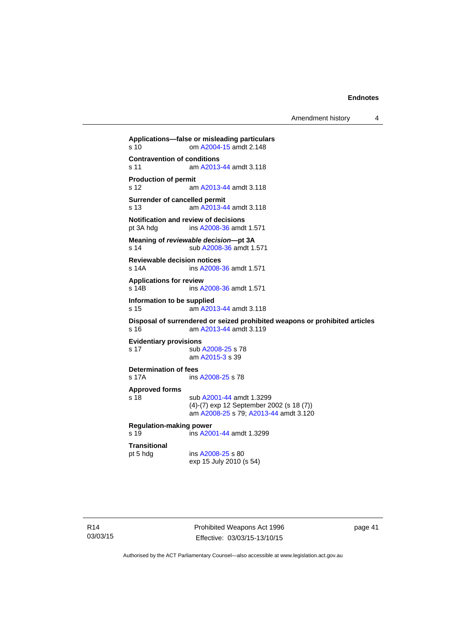Amendment history 4

```
Applications—false or misleading particulars 
s 10 om A2004-15 amdt 2.148
Contravention of conditions 
s 11 am A2013-44 amdt 3.118
Production of permit 
s 12 am A2013-44 amdt 3.118
Surrender of cancelled permit 
s 13 am A2013-44 amdt 3.118
Notification and review of decisions<br>pt 3A hdg ins A2008-36 amdt
                 A2008-36 amdt 1.571
Meaning of reviewable decision—pt 3A 
s 14 sub A2008-36 amdt 1.571 
Reviewable decision notices 
s 14A ins A2008-36 amdt 1.571 
Applications for review 
s 14B ins A2008-36 amdt 1.571 
Information to be supplied 
s 15 am A2013-44 amdt 3.118
Disposal of surrendered or seized prohibited weapons or prohibited articles 
s 16 am A2013-44 amdt 3.119
Evidentiary provisions 
A2008-25 s 78
                 am A2015-3 s 39 
Determination of fees<br>s 17A ins
                A2008-25 s 78
Approved forms 
s 18 sub A2001-44 amdt 1.3299 
                (4)-(7) exp 12 September 2002 (s 18 (7)) 
                 am A2008-25 s 79; A2013-44 amdt 3.120 
Regulation-making power 
s 19 ins A2001-44 amdt 1.3299 
Transitional 
                A2008-25 s 80
                exp 15 July 2010 (s 54)
```
Prohibited Weapons Act 1996 Effective: 03/03/15-13/10/15

page 41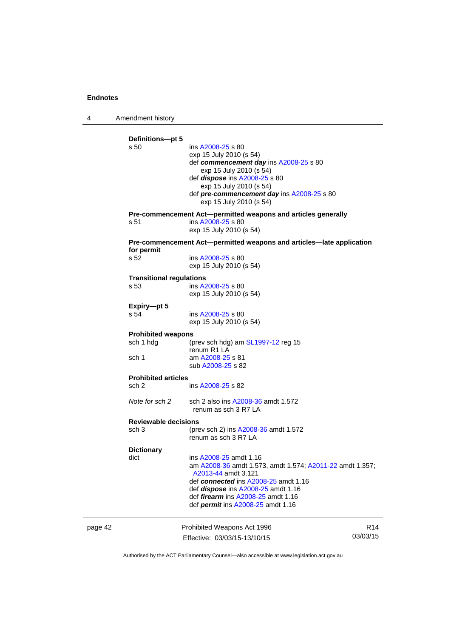4 Amendment history

|         | Definitions-pt 5<br>s 50<br>s 51                | ins A2008-25 s 80<br>exp 15 July 2010 (s 54)<br>def commencement day ins A2008-25 s 80<br>exp 15 July 2010 (s 54)<br>def dispose ins A2008-25 s 80<br>exp 15 July 2010 (s 54)<br>def pre-commencement day ins A2008-25 s 80<br>exp 15 July 2010 (s 54)<br>Pre-commencement Act-permitted weapons and articles generally<br>ins A2008-25 s 80<br>exp 15 July 2010 (s 54) |                             |
|---------|-------------------------------------------------|-------------------------------------------------------------------------------------------------------------------------------------------------------------------------------------------------------------------------------------------------------------------------------------------------------------------------------------------------------------------------|-----------------------------|
|         | for permit<br>s 52                              | Pre-commencement Act—permitted weapons and articles—late application<br>ins A2008-25 s 80<br>exp 15 July 2010 (s 54)                                                                                                                                                                                                                                                    |                             |
|         | <b>Transitional regulations</b><br>s 53         | ins A2008-25 s 80<br>exp 15 July 2010 (s 54)                                                                                                                                                                                                                                                                                                                            |                             |
|         | Expiry-pt 5<br>s 54                             | ins A2008-25 s 80<br>exp 15 July 2010 (s 54)                                                                                                                                                                                                                                                                                                                            |                             |
|         | <b>Prohibited weapons</b><br>sch 1 hdg<br>sch 1 | (prev sch hdg) am SL1997-12 reg 15<br>renum R1 LA<br>am A2008-25 s 81<br>sub A2008-25 s 82                                                                                                                                                                                                                                                                              |                             |
|         | <b>Prohibited articles</b>                      |                                                                                                                                                                                                                                                                                                                                                                         |                             |
|         | sch 2                                           | ins A2008-25 s 82                                                                                                                                                                                                                                                                                                                                                       |                             |
|         | Note for sch 2                                  | sch 2 also ins A2008-36 amdt 1.572<br>renum as sch 3 R7 LA                                                                                                                                                                                                                                                                                                              |                             |
|         | <b>Reviewable decisions</b><br>sch 3            | (prev sch 2) ins A2008-36 amdt 1.572<br>renum as sch 3 R7 LA                                                                                                                                                                                                                                                                                                            |                             |
|         | <b>Dictionary</b><br>dict                       | ins A2008-25 amdt 1.16<br>am A2008-36 amdt 1.573, amdt 1.574; A2011-22 amdt 1.357;<br>A2013-44 amdt 3.121<br>def connected ins A2008-25 amdt 1.16<br>def <i>dispose</i> ins A2008-25 amdt 1.16<br>def <i>firearm</i> ins A2008-25 amdt 1.16<br>def permit ins A2008-25 amdt 1.16                                                                                        |                             |
| page 42 |                                                 | Prohibited Weapons Act 1996<br>Effective: 03/03/15-13/10/15                                                                                                                                                                                                                                                                                                             | R <sub>14</sub><br>03/03/15 |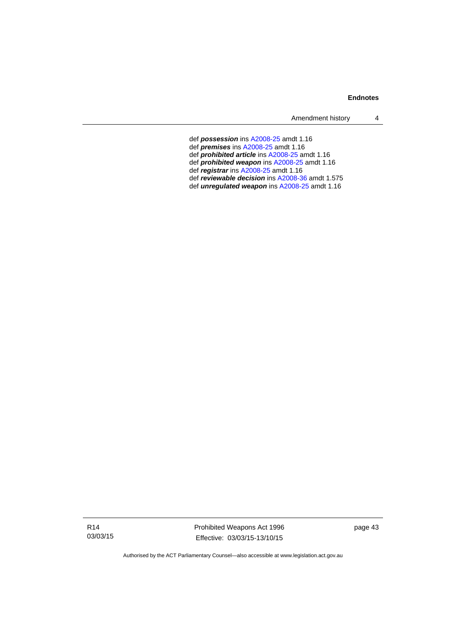Amendment history 4

- def *possession* ins [A2008-25](http://www.legislation.act.gov.au/a/2008-25) amdt 1.16
- def *premises* ins [A2008-25](http://www.legislation.act.gov.au/a/2008-25) amdt 1.16
- def *prohibited article* ins [A2008-25](http://www.legislation.act.gov.au/a/2008-25) amdt 1.16
- def *prohibited weapon* ins [A2008-25](http://www.legislation.act.gov.au/a/2008-25) amdt 1.16
- def *registrar* ins [A2008-25](http://www.legislation.act.gov.au/a/2008-25) amdt 1.16
- def *reviewable decision* ins [A2008-36](http://www.legislation.act.gov.au/a/2008-36) amdt 1.575
- def *unregulated weapon* ins [A2008-25](http://www.legislation.act.gov.au/a/2008-25) amdt 1.16

page 43

R14 03/03/15 Prohibited Weapons Act 1996 Effective: 03/03/15-13/10/15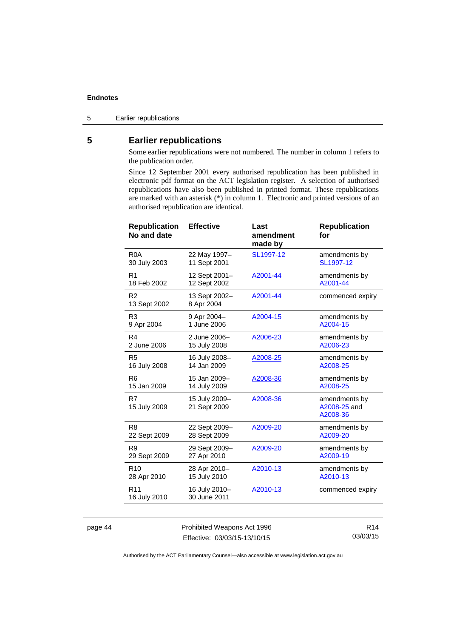5 Earlier republications

### <span id="page-49-0"></span>**5 Earlier republications**

Some earlier republications were not numbered. The number in column 1 refers to the publication order.

Since 12 September 2001 every authorised republication has been published in electronic pdf format on the ACT legislation register. A selection of authorised republications have also been published in printed format. These republications are marked with an asterisk (\*) in column 1. Electronic and printed versions of an authorised republication are identical.

| <b>Effective</b>              | Last<br>amendment<br>made by | <b>Republication</b><br>for               |
|-------------------------------|------------------------------|-------------------------------------------|
| 22 May 1997-<br>11 Sept 2001  | SL1997-12                    | amendments by<br>SL1997-12                |
| 12 Sept 2001-<br>12 Sept 2002 | A2001-44                     | amendments by<br>A2001-44                 |
| 13 Sept 2002-<br>8 Apr 2004   | A2001-44                     | commenced expiry                          |
| 9 Apr 2004-<br>1 June 2006    | A2004-15                     | amendments by<br>A2004-15                 |
| 2 June 2006-<br>15 July 2008  | A2006-23                     | amendments by<br>A2006-23                 |
| 16 July 2008-<br>14 Jan 2009  | A2008-25                     | amendments by<br>A2008-25                 |
| 15 Jan 2009-<br>14 July 2009  | A2008-36                     | amendments by<br>A2008-25                 |
| 15 July 2009-<br>21 Sept 2009 | A2008-36                     | amendments by<br>A2008-25 and<br>A2008-36 |
| 22 Sept 2009-<br>28 Sept 2009 | A2009-20                     | amendments by<br>A2009-20                 |
| 29 Sept 2009-<br>27 Apr 2010  | A2009-20                     | amendments by<br>A2009-19                 |
| 28 Apr 2010-<br>15 July 2010  | A2010-13                     | amendments by<br>A2010-13                 |
| 16 July 2010-<br>30 June 2011 | A2010-13                     | commenced expiry                          |
|                               |                              |                                           |

page 44 Prohibited Weapons Act 1996 Effective: 03/03/15-13/10/15

R14 03/03/15